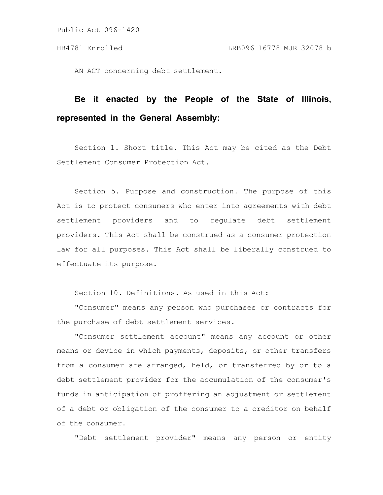AN ACT concerning debt settlement.

# **Be it enacted by the People of the State of Illinois, represented in the General Assembly:**

Section 1. Short title. This Act may be cited as the Debt Settlement Consumer Protection Act.

Section 5. Purpose and construction. The purpose of this Act is to protect consumers who enter into agreements with debt settlement providers and to regulate debt settlement providers. This Act shall be construed as a consumer protection law for all purposes. This Act shall be liberally construed to effectuate its purpose.

Section 10. Definitions. As used in this Act:

"Consumer" means any person who purchases or contracts for the purchase of debt settlement services.

"Consumer settlement account" means any account or other means or device in which payments, deposits, or other transfers from a consumer are arranged, held, or transferred by or to a debt settlement provider for the accumulation of the consumer's funds in anticipation of proffering an adjustment or settlement of a debt or obligation of the consumer to a creditor on behalf of the consumer.

"Debt settlement provider" means any person or entity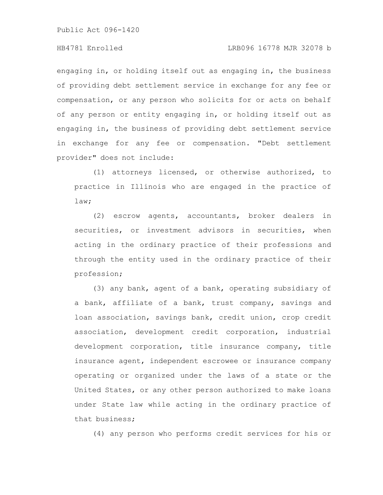engaging in, or holding itself out as engaging in, the business of providing debt settlement service in exchange for any fee or compensation, or any person who solicits for or acts on behalf of any person or entity engaging in, or holding itself out as engaging in, the business of providing debt settlement service in exchange for any fee or compensation. "Debt settlement provider" does not include:

(1) attorneys licensed, or otherwise authorized, to practice in Illinois who are engaged in the practice of law;

(2) escrow agents, accountants, broker dealers in securities, or investment advisors in securities, when acting in the ordinary practice of their professions and through the entity used in the ordinary practice of their profession;

(3) any bank, agent of a bank, operating subsidiary of a bank, affiliate of a bank, trust company, savings and loan association, savings bank, credit union, crop credit association, development credit corporation, industrial development corporation, title insurance company, title insurance agent, independent escrowee or insurance company operating or organized under the laws of a state or the United States, or any other person authorized to make loans under State law while acting in the ordinary practice of that business;

(4) any person who performs credit services for his or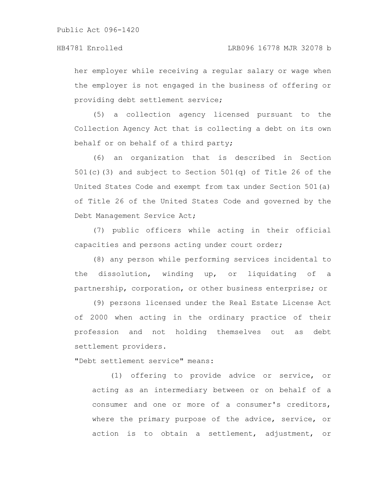her employer while receiving a regular salary or wage when the employer is not engaged in the business of offering or providing debt settlement service;

(5) a collection agency licensed pursuant to the Collection Agency Act that is collecting a debt on its own behalf or on behalf of a third party;

(6) an organization that is described in Section 501(c)(3) and subject to Section 501(q) of Title 26 of the United States Code and exempt from tax under Section 501(a) of Title 26 of the United States Code and governed by the Debt Management Service Act;

(7) public officers while acting in their official capacities and persons acting under court order;

(8) any person while performing services incidental to the dissolution, winding up, or liquidating of a partnership, corporation, or other business enterprise; or

(9) persons licensed under the Real Estate License Act of 2000 when acting in the ordinary practice of their profession and not holding themselves out as debt settlement providers.

"Debt settlement service" means:

(1) offering to provide advice or service, or acting as an intermediary between or on behalf of a consumer and one or more of a consumer's creditors, where the primary purpose of the advice, service, or action is to obtain a settlement, adjustment, or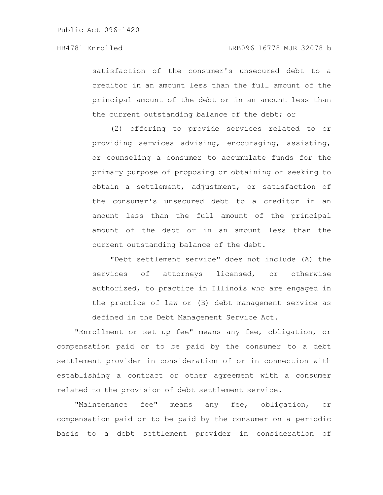satisfaction of the consumer's unsecured debt to a creditor in an amount less than the full amount of the principal amount of the debt or in an amount less than the current outstanding balance of the debt; or

(2) offering to provide services related to or providing services advising, encouraging, assisting, or counseling a consumer to accumulate funds for the primary purpose of proposing or obtaining or seeking to obtain a settlement, adjustment, or satisfaction of the consumer's unsecured debt to a creditor in an amount less than the full amount of the principal amount of the debt or in an amount less than the current outstanding balance of the debt.

"Debt settlement service" does not include (A) the services of attorneys licensed, or otherwise authorized, to practice in Illinois who are engaged in the practice of law or (B) debt management service as defined in the Debt Management Service Act.

"Enrollment or set up fee" means any fee, obligation, or compensation paid or to be paid by the consumer to a debt settlement provider in consideration of or in connection with establishing a contract or other agreement with a consumer related to the provision of debt settlement service.

"Maintenance fee" means any fee, obligation, or compensation paid or to be paid by the consumer on a periodic basis to a debt settlement provider in consideration of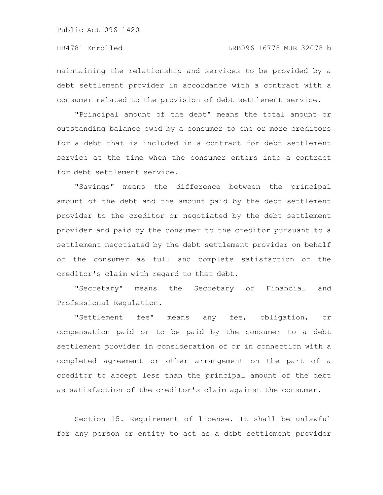maintaining the relationship and services to be provided by a debt settlement provider in accordance with a contract with a consumer related to the provision of debt settlement service.

"Principal amount of the debt" means the total amount or outstanding balance owed by a consumer to one or more creditors for a debt that is included in a contract for debt settlement service at the time when the consumer enters into a contract for debt settlement service.

"Savings" means the difference between the principal amount of the debt and the amount paid by the debt settlement provider to the creditor or negotiated by the debt settlement provider and paid by the consumer to the creditor pursuant to a settlement negotiated by the debt settlement provider on behalf of the consumer as full and complete satisfaction of the creditor's claim with regard to that debt.

"Secretary" means the Secretary of Financial and Professional Regulation.

"Settlement fee" means any fee, obligation, or compensation paid or to be paid by the consumer to a debt settlement provider in consideration of or in connection with a completed agreement or other arrangement on the part of a creditor to accept less than the principal amount of the debt as satisfaction of the creditor's claim against the consumer.

Section 15. Requirement of license. It shall be unlawful for any person or entity to act as a debt settlement provider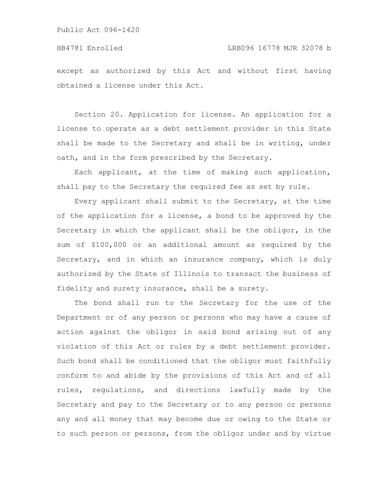except as authorized by this Act and without first having obtained a license under this Act.

Section 20. Application for license. An application for a license to operate as a debt settlement provider in this State shall be made to the Secretary and shall be in writing, under oath, and in the form prescribed by the Secretary.

Each applicant, at the time of making such application, shall pay to the Secretary the required fee as set by rule.

Every applicant shall submit to the Secretary, at the time of the application for a license, a bond to be approved by the Secretary in which the applicant shall be the obligor, in the sum of \$100,000 or an additional amount as required by the Secretary, and in which an insurance company, which is duly authorized by the State of Illinois to transact the business of fidelity and surety insurance, shall be a surety.

The bond shall run to the Secretary for the use of the Department or of any person or persons who may have a cause of action against the obligor in said bond arising out of any violation of this Act or rules by a debt settlement provider. Such bond shall be conditioned that the obligor must faithfully conform to and abide by the provisions of this Act and of all rules, regulations, and directions lawfully made by the Secretary and pay to the Secretary or to any person or persons any and all money that may become due or owing to the State or to such person or persons, from the obligor under and by virtue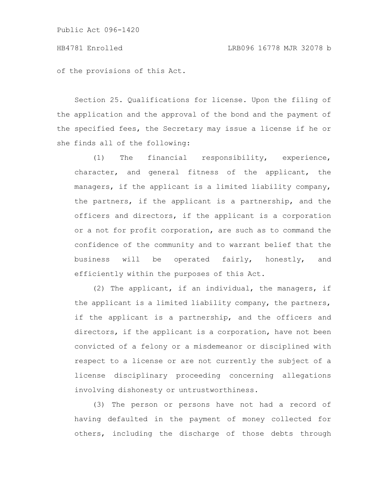of the provisions of this Act.

Section 25. Qualifications for license. Upon the filing of the application and the approval of the bond and the payment of the specified fees, the Secretary may issue a license if he or she finds all of the following:

(1) The financial responsibility, experience, character, and general fitness of the applicant, the managers, if the applicant is a limited liability company, the partners, if the applicant is a partnership, and the officers and directors, if the applicant is a corporation or a not for profit corporation, are such as to command the confidence of the community and to warrant belief that the business will be operated fairly, honestly, and efficiently within the purposes of this Act.

(2) The applicant, if an individual, the managers, if the applicant is a limited liability company, the partners, if the applicant is a partnership, and the officers and directors, if the applicant is a corporation, have not been convicted of a felony or a misdemeanor or disciplined with respect to a license or are not currently the subject of a license disciplinary proceeding concerning allegations involving dishonesty or untrustworthiness.

(3) The person or persons have not had a record of having defaulted in the payment of money collected for others, including the discharge of those debts through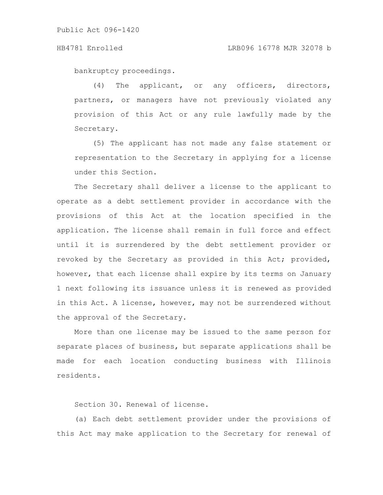bankruptcy proceedings.

(4) The applicant, or any officers, directors, partners, or managers have not previously violated any provision of this Act or any rule lawfully made by the Secretary.

(5) The applicant has not made any false statement or representation to the Secretary in applying for a license under this Section.

The Secretary shall deliver a license to the applicant to operate as a debt settlement provider in accordance with the provisions of this Act at the location specified in the application. The license shall remain in full force and effect until it is surrendered by the debt settlement provider or revoked by the Secretary as provided in this Act; provided, however, that each license shall expire by its terms on January 1 next following its issuance unless it is renewed as provided in this Act. A license, however, may not be surrendered without the approval of the Secretary.

More than one license may be issued to the same person for separate places of business, but separate applications shall be made for each location conducting business with Illinois residents.

Section 30. Renewal of license.

(a) Each debt settlement provider under the provisions of this Act may make application to the Secretary for renewal of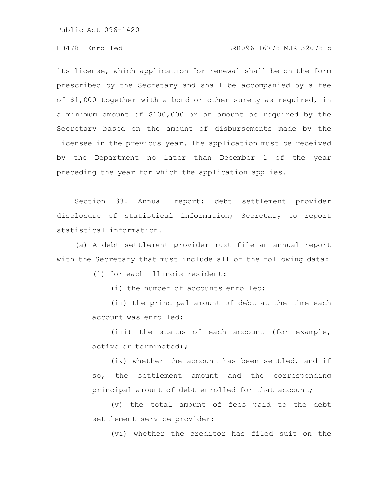# HB4781 Enrolled LRB096 16778 MJR 32078 b

its license, which application for renewal shall be on the form prescribed by the Secretary and shall be accompanied by a fee of \$1,000 together with a bond or other surety as required, in a minimum amount of \$100,000 or an amount as required by the Secretary based on the amount of disbursements made by the licensee in the previous year. The application must be received by the Department no later than December 1 of the year preceding the year for which the application applies.

Section 33. Annual report; debt settlement provider disclosure of statistical information; Secretary to report statistical information.

(a) A debt settlement provider must file an annual report with the Secretary that must include all of the following data:

(1) for each Illinois resident:

(i) the number of accounts enrolled;

(ii) the principal amount of debt at the time each account was enrolled;

(iii) the status of each account (for example, active or terminated);

(iv) whether the account has been settled, and if so, the settlement amount and the corresponding principal amount of debt enrolled for that account;

(v) the total amount of fees paid to the debt settlement service provider;

(vi) whether the creditor has filed suit on the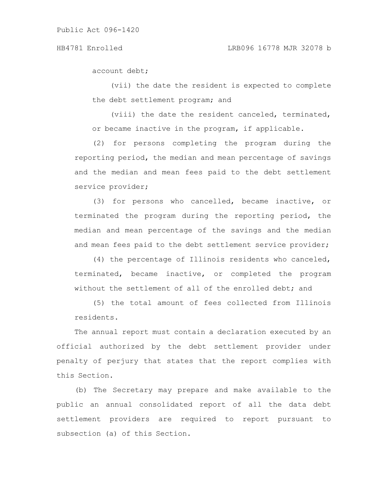account debt;

(vii) the date the resident is expected to complete the debt settlement program; and

(viii) the date the resident canceled, terminated, or became inactive in the program, if applicable.

(2) for persons completing the program during the reporting period, the median and mean percentage of savings and the median and mean fees paid to the debt settlement service provider;

(3) for persons who cancelled, became inactive, or terminated the program during the reporting period, the median and mean percentage of the savings and the median and mean fees paid to the debt settlement service provider;

(4) the percentage of Illinois residents who canceled, terminated, became inactive, or completed the program without the settlement of all of the enrolled debt; and

(5) the total amount of fees collected from Illinois residents.

The annual report must contain a declaration executed by an official authorized by the debt settlement provider under penalty of perjury that states that the report complies with this Section.

(b) The Secretary may prepare and make available to the public an annual consolidated report of all the data debt settlement providers are required to report pursuant to subsection (a) of this Section.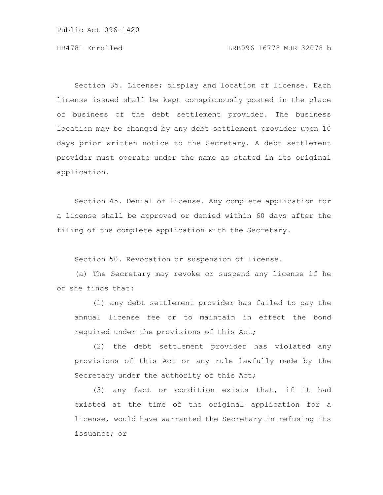Section 35. License; display and location of license. Each license issued shall be kept conspicuously posted in the place of business of the debt settlement provider. The business location may be changed by any debt settlement provider upon 10 days prior written notice to the Secretary. A debt settlement provider must operate under the name as stated in its original application.

Section 45. Denial of license. Any complete application for a license shall be approved or denied within 60 days after the filing of the complete application with the Secretary.

Section 50. Revocation or suspension of license.

(a) The Secretary may revoke or suspend any license if he or she finds that:

(1) any debt settlement provider has failed to pay the annual license fee or to maintain in effect the bond required under the provisions of this Act;

(2) the debt settlement provider has violated any provisions of this Act or any rule lawfully made by the Secretary under the authority of this Act;

(3) any fact or condition exists that, if it had existed at the time of the original application for a license, would have warranted the Secretary in refusing its issuance; or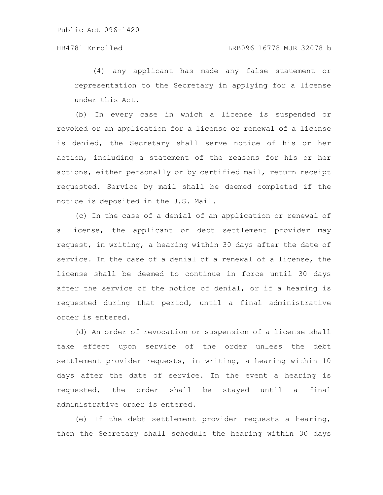(4) any applicant has made any false statement or representation to the Secretary in applying for a license under this Act.

(b) In every case in which a license is suspended or revoked or an application for a license or renewal of a license is denied, the Secretary shall serve notice of his or her action, including a statement of the reasons for his or her actions, either personally or by certified mail, return receipt requested. Service by mail shall be deemed completed if the notice is deposited in the U.S. Mail.

(c) In the case of a denial of an application or renewal of a license, the applicant or debt settlement provider may request, in writing, a hearing within 30 days after the date of service. In the case of a denial of a renewal of a license, the license shall be deemed to continue in force until 30 days after the service of the notice of denial, or if a hearing is requested during that period, until a final administrative order is entered.

(d) An order of revocation or suspension of a license shall take effect upon service of the order unless the debt settlement provider requests, in writing, a hearing within 10 days after the date of service. In the event a hearing is requested, the order shall be stayed until a final administrative order is entered.

(e) If the debt settlement provider requests a hearing, then the Secretary shall schedule the hearing within 30 days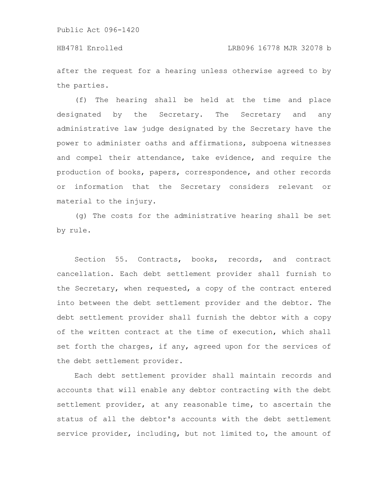after the request for a hearing unless otherwise agreed to by the parties.

(f) The hearing shall be held at the time and place designated by the Secretary. The Secretary and any administrative law judge designated by the Secretary have the power to administer oaths and affirmations, subpoena witnesses and compel their attendance, take evidence, and require the production of books, papers, correspondence, and other records or information that the Secretary considers relevant or material to the injury.

(g) The costs for the administrative hearing shall be set by rule.

Section 55. Contracts, books, records, and contract cancellation. Each debt settlement provider shall furnish to the Secretary, when requested, a copy of the contract entered into between the debt settlement provider and the debtor. The debt settlement provider shall furnish the debtor with a copy of the written contract at the time of execution, which shall set forth the charges, if any, agreed upon for the services of the debt settlement provider.

Each debt settlement provider shall maintain records and accounts that will enable any debtor contracting with the debt settlement provider, at any reasonable time, to ascertain the status of all the debtor's accounts with the debt settlement service provider, including, but not limited to, the amount of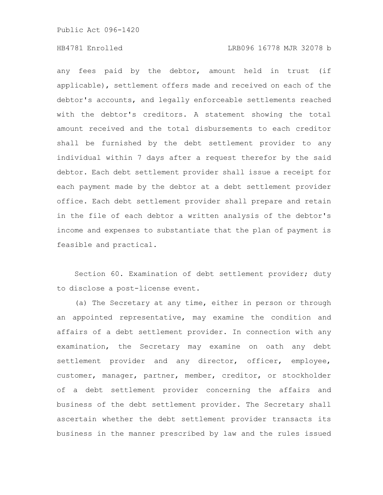any fees paid by the debtor, amount held in trust (if applicable), settlement offers made and received on each of the debtor's accounts, and legally enforceable settlements reached with the debtor's creditors. A statement showing the total amount received and the total disbursements to each creditor shall be furnished by the debt settlement provider to any individual within 7 days after a request therefor by the said debtor. Each debt settlement provider shall issue a receipt for each payment made by the debtor at a debt settlement provider office. Each debt settlement provider shall prepare and retain in the file of each debtor a written analysis of the debtor's income and expenses to substantiate that the plan of payment is feasible and practical.

Section 60. Examination of debt settlement provider; duty to disclose a post-license event.

(a) The Secretary at any time, either in person or through an appointed representative, may examine the condition and affairs of a debt settlement provider. In connection with any examination, the Secretary may examine on oath any debt settlement provider and any director, officer, employee, customer, manager, partner, member, creditor, or stockholder of a debt settlement provider concerning the affairs and business of the debt settlement provider. The Secretary shall ascertain whether the debt settlement provider transacts its business in the manner prescribed by law and the rules issued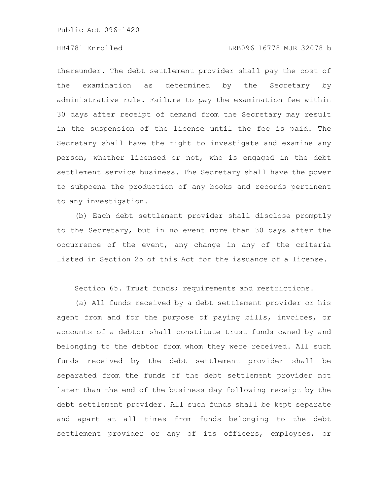# HB4781 Enrolled LRB096 16778 MJR 32078 b

thereunder. The debt settlement provider shall pay the cost of the examination as determined by the Secretary by administrative rule. Failure to pay the examination fee within 30 days after receipt of demand from the Secretary may result in the suspension of the license until the fee is paid. The Secretary shall have the right to investigate and examine any person, whether licensed or not, who is engaged in the debt settlement service business. The Secretary shall have the power to subpoena the production of any books and records pertinent to any investigation.

(b) Each debt settlement provider shall disclose promptly to the Secretary, but in no event more than 30 days after the occurrence of the event, any change in any of the criteria listed in Section 25 of this Act for the issuance of a license.

Section 65. Trust funds; requirements and restrictions.

(a) All funds received by a debt settlement provider or his agent from and for the purpose of paying bills, invoices, or accounts of a debtor shall constitute trust funds owned by and belonging to the debtor from whom they were received. All such funds received by the debt settlement provider shall be separated from the funds of the debt settlement provider not later than the end of the business day following receipt by the debt settlement provider. All such funds shall be kept separate and apart at all times from funds belonging to the debt settlement provider or any of its officers, employees, or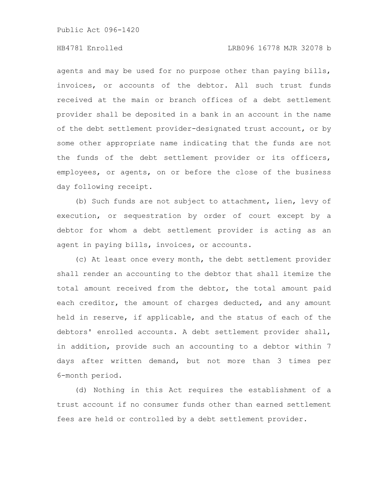agents and may be used for no purpose other than paying bills, invoices, or accounts of the debtor. All such trust funds received at the main or branch offices of a debt settlement provider shall be deposited in a bank in an account in the name of the debt settlement provider-designated trust account, or by some other appropriate name indicating that the funds are not the funds of the debt settlement provider or its officers, employees, or agents, on or before the close of the business day following receipt.

(b) Such funds are not subject to attachment, lien, levy of execution, or sequestration by order of court except by a debtor for whom a debt settlement provider is acting as an agent in paying bills, invoices, or accounts.

(c) At least once every month, the debt settlement provider shall render an accounting to the debtor that shall itemize the total amount received from the debtor, the total amount paid each creditor, the amount of charges deducted, and any amount held in reserve, if applicable, and the status of each of the debtors' enrolled accounts. A debt settlement provider shall, in addition, provide such an accounting to a debtor within 7 days after written demand, but not more than 3 times per 6-month period.

(d) Nothing in this Act requires the establishment of a trust account if no consumer funds other than earned settlement fees are held or controlled by a debt settlement provider.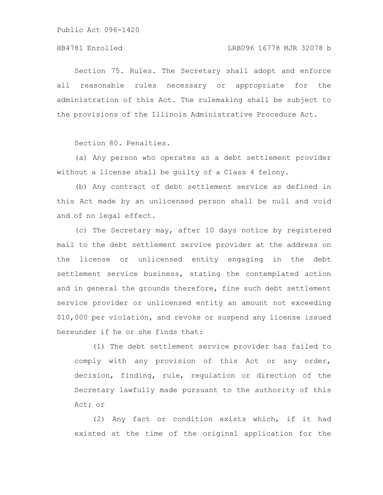Section 75. Rules. The Secretary shall adopt and enforce all reasonable rules necessary or appropriate for the administration of this Act. The rulemaking shall be subject to the provisions of the Illinois Administrative Procedure Act.

Section 80. Penalties.

(a) Any person who operates as a debt settlement provider without a license shall be guilty of a Class 4 felony.

(b) Any contract of debt settlement service as defined in this Act made by an unlicensed person shall be null and void and of no legal effect.

(c) The Secretary may, after 10 days notice by registered mail to the debt settlement service provider at the address on the license or unlicensed entity engaging in the debt settlement service business, stating the contemplated action and in general the grounds therefore, fine such debt settlement service provider or unlicensed entity an amount not exceeding \$10,000 per violation, and revoke or suspend any license issued hereunder if he or she finds that:

(1) The debt settlement service provider has failed to comply with any provision of this Act or any order, decision, finding, rule, regulation or direction of the Secretary lawfully made pursuant to the authority of this Act; or

(2) Any fact or condition exists which, if it had existed at the time of the original application for the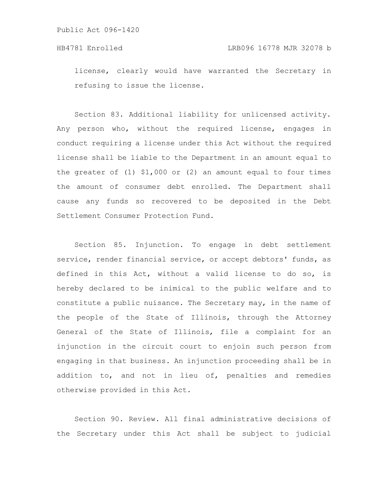license, clearly would have warranted the Secretary in refusing to issue the license.

Section 83. Additional liability for unlicensed activity. Any person who, without the required license, engages in conduct requiring a license under this Act without the required license shall be liable to the Department in an amount equal to the greater of (1) \$1,000 or (2) an amount equal to four times the amount of consumer debt enrolled. The Department shall cause any funds so recovered to be deposited in the Debt Settlement Consumer Protection Fund.

Section 85. Injunction. To engage in debt settlement service, render financial service, or accept debtors' funds, as defined in this Act, without a valid license to do so, is hereby declared to be inimical to the public welfare and to constitute a public nuisance. The Secretary may, in the name of the people of the State of Illinois, through the Attorney General of the State of Illinois, file a complaint for an injunction in the circuit court to enjoin such person from engaging in that business. An injunction proceeding shall be in addition to, and not in lieu of, penalties and remedies otherwise provided in this Act.

Section 90. Review. All final administrative decisions of the Secretary under this Act shall be subject to judicial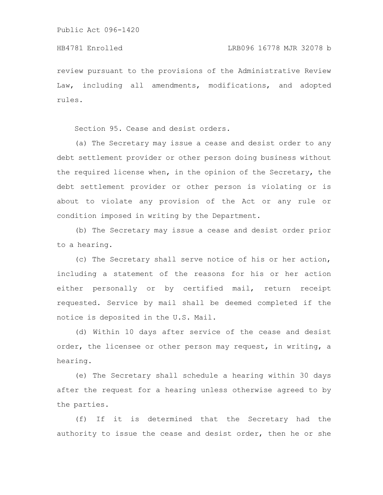review pursuant to the provisions of the Administrative Review Law, including all amendments, modifications, and adopted rules.

Section 95. Cease and desist orders.

(a) The Secretary may issue a cease and desist order to any debt settlement provider or other person doing business without the required license when, in the opinion of the Secretary, the debt settlement provider or other person is violating or is about to violate any provision of the Act or any rule or condition imposed in writing by the Department.

(b) The Secretary may issue a cease and desist order prior to a hearing.

(c) The Secretary shall serve notice of his or her action, including a statement of the reasons for his or her action either personally or by certified mail, return receipt requested. Service by mail shall be deemed completed if the notice is deposited in the U.S. Mail.

(d) Within 10 days after service of the cease and desist order, the licensee or other person may request, in writing, a hearing.

(e) The Secretary shall schedule a hearing within 30 days after the request for a hearing unless otherwise agreed to by the parties.

(f) If it is determined that the Secretary had the authority to issue the cease and desist order, then he or she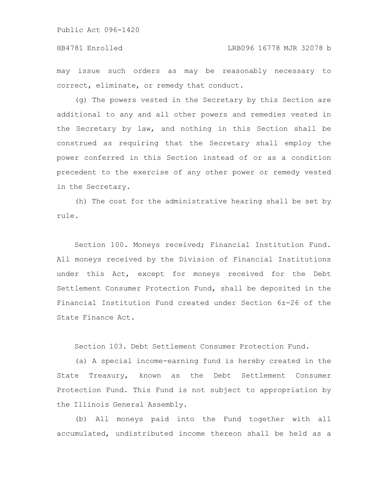may issue such orders as may be reasonably necessary to correct, eliminate, or remedy that conduct.

(g) The powers vested in the Secretary by this Section are additional to any and all other powers and remedies vested in the Secretary by law, and nothing in this Section shall be construed as requiring that the Secretary shall employ the power conferred in this Section instead of or as a condition precedent to the exercise of any other power or remedy vested in the Secretary.

(h) The cost for the administrative hearing shall be set by rule.

Section 100. Moneys received; Financial Institution Fund. All moneys received by the Division of Financial Institutions under this Act, except for moneys received for the Debt Settlement Consumer Protection Fund, shall be deposited in the Financial Institution Fund created under Section 6z-26 of the State Finance Act.

Section 103. Debt Settlement Consumer Protection Fund.

(a) A special income-earning fund is hereby created in the State Treasury, known as the Debt Settlement Consumer Protection Fund. This Fund is not subject to appropriation by the Illinois General Assembly.

(b) All moneys paid into the Fund together with all accumulated, undistributed income thereon shall be held as a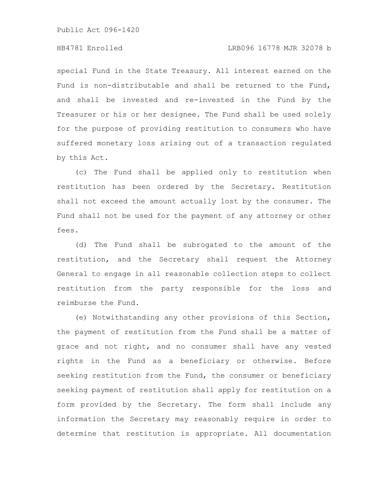# HB4781 Enrolled LRB096 16778 MJR 32078 b

special Fund in the State Treasury. All interest earned on the Fund is non-distributable and shall be returned to the Fund, and shall be invested and re-invested in the Fund by the Treasurer or his or her designee. The Fund shall be used solely for the purpose of providing restitution to consumers who have suffered monetary loss arising out of a transaction regulated by this Act.

(c) The Fund shall be applied only to restitution when restitution has been ordered by the Secretary. Restitution shall not exceed the amount actually lost by the consumer. The Fund shall not be used for the payment of any attorney or other fees.

(d) The Fund shall be subrogated to the amount of the restitution, and the Secretary shall request the Attorney General to engage in all reasonable collection steps to collect restitution from the party responsible for the loss and reimburse the Fund.

(e) Notwithstanding any other provisions of this Section, the payment of restitution from the Fund shall be a matter of grace and not right, and no consumer shall have any vested rights in the Fund as a beneficiary or otherwise. Before seeking restitution from the Fund, the consumer or beneficiary seeking payment of restitution shall apply for restitution on a form provided by the Secretary. The form shall include any information the Secretary may reasonably require in order to determine that restitution is appropriate. All documentation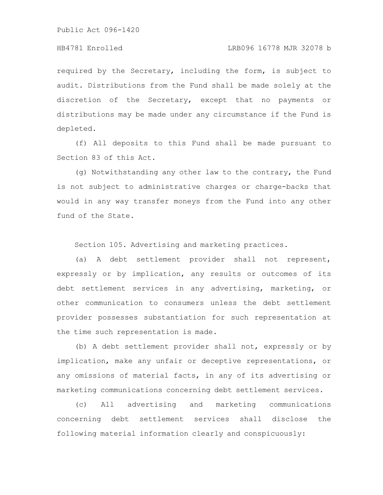required by the Secretary, including the form, is subject to audit. Distributions from the Fund shall be made solely at the discretion of the Secretary, except that no payments or distributions may be made under any circumstance if the Fund is depleted.

(f) All deposits to this Fund shall be made pursuant to Section 83 of this Act.

(g) Notwithstanding any other law to the contrary, the Fund is not subject to administrative charges or charge-backs that would in any way transfer moneys from the Fund into any other fund of the State.

Section 105. Advertising and marketing practices.

(a) A debt settlement provider shall not represent, expressly or by implication, any results or outcomes of its debt settlement services in any advertising, marketing, or other communication to consumers unless the debt settlement provider possesses substantiation for such representation at the time such representation is made.

(b) A debt settlement provider shall not, expressly or by implication, make any unfair or deceptive representations, or any omissions of material facts, in any of its advertising or marketing communications concerning debt settlement services.

(c) All advertising and marketing communications concerning debt settlement services shall disclose the following material information clearly and conspicuously: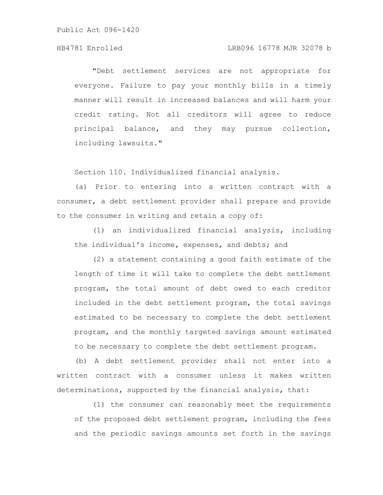# HB4781 Enrolled LRB096 16778 MJR 32078 b

"Debt settlement services are not appropriate for everyone. Failure to pay your monthly bills in a timely manner will result in increased balances and will harm your credit rating. Not all creditors will agree to reduce principal balance, and they may pursue collection, including lawsuits."

Section 110. Individualized financial analysis.

(a) Prior to entering into a written contract with a consumer, a debt settlement provider shall prepare and provide to the consumer in writing and retain a copy of:

(1) an individualized financial analysis, including the individual's income, expenses, and debts; and

(2) a statement containing a good faith estimate of the length of time it will take to complete the debt settlement program, the total amount of debt owed to each creditor included in the debt settlement program, the total savings estimated to be necessary to complete the debt settlement program, and the monthly targeted savings amount estimated to be necessary to complete the debt settlement program.

(b) A debt settlement provider shall not enter into a written contract with a consumer unless it makes written determinations, supported by the financial analysis, that:

(1) the consumer can reasonably meet the requirements of the proposed debt settlement program, including the fees and the periodic savings amounts set forth in the savings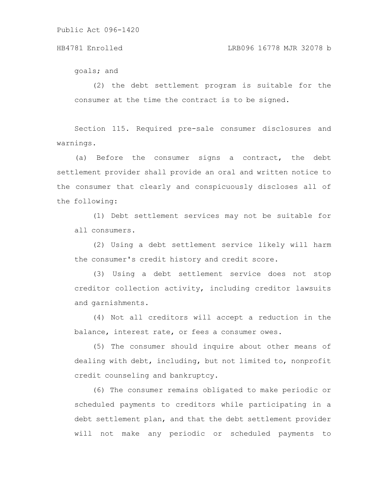### HB4781 Enrolled LRB096 16778 MJR 32078 b

goals; and

(2) the debt settlement program is suitable for the consumer at the time the contract is to be signed.

Section 115. Required pre-sale consumer disclosures and warnings.

(a) Before the consumer signs a contract, the debt settlement provider shall provide an oral and written notice to the consumer that clearly and conspicuously discloses all of the following:

(1) Debt settlement services may not be suitable for all consumers.

(2) Using a debt settlement service likely will harm the consumer's credit history and credit score.

(3) Using a debt settlement service does not stop creditor collection activity, including creditor lawsuits and garnishments.

(4) Not all creditors will accept a reduction in the balance, interest rate, or fees a consumer owes.

(5) The consumer should inquire about other means of dealing with debt, including, but not limited to, nonprofit credit counseling and bankruptcy.

(6) The consumer remains obligated to make periodic or scheduled payments to creditors while participating in a debt settlement plan, and that the debt settlement provider will not make any periodic or scheduled payments to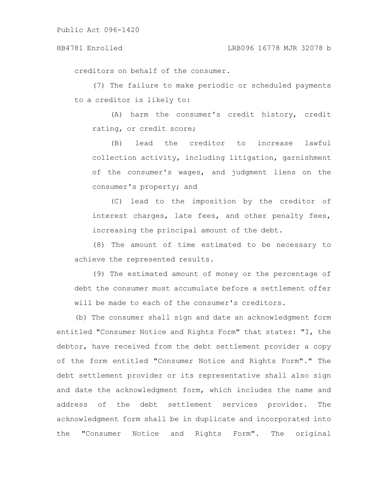creditors on behalf of the consumer.

(7) The failure to make periodic or scheduled payments to a creditor is likely to:

(A) harm the consumer's credit history, credit rating, or credit score;

(B) lead the creditor to increase lawful collection activity, including litigation, garnishment of the consumer's wages, and judgment liens on the consumer's property; and

(C) lead to the imposition by the creditor of interest charges, late fees, and other penalty fees, increasing the principal amount of the debt.

(8) The amount of time estimated to be necessary to achieve the represented results.

(9) The estimated amount of money or the percentage of debt the consumer must accumulate before a settlement offer will be made to each of the consumer's creditors.

(b) The consumer shall sign and date an acknowledgment form entitled "Consumer Notice and Rights Form" that states: "I, the debtor, have received from the debt settlement provider a copy of the form entitled "Consumer Notice and Rights Form"." The debt settlement provider or its representative shall also sign and date the acknowledgment form, which includes the name and address of the debt settlement services provider. The acknowledgment form shall be in duplicate and incorporated into the "Consumer Notice and Rights Form". The original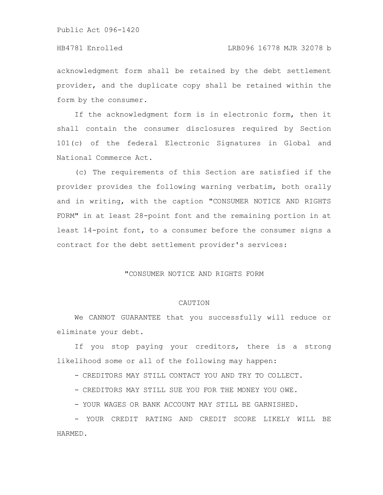### HB4781 Enrolled LRB096 16778 MJR 32078 b

acknowledgment form shall be retained by the debt settlement provider, and the duplicate copy shall be retained within the form by the consumer.

If the acknowledgment form is in electronic form, then it shall contain the consumer disclosures required by Section 101(c) of the federal Electronic Signatures in Global and National Commerce Act.

(c) The requirements of this Section are satisfied if the provider provides the following warning verbatim, both orally and in writing, with the caption "CONSUMER NOTICE AND RIGHTS FORM" in at least 28-point font and the remaining portion in at least 14-point font, to a consumer before the consumer signs a contract for the debt settlement provider's services:

### "CONSUMER NOTICE AND RIGHTS FORM

### CAUTION

We CANNOT GUARANTEE that you successfully will reduce or eliminate your debt.

If you stop paying your creditors, there is a strong likelihood some or all of the following may happen:

- CREDITORS MAY STILL CONTACT YOU AND TRY TO COLLECT.

- CREDITORS MAY STILL SUE YOU FOR THE MONEY YOU OWE.

- YOUR WAGES OR BANK ACCOUNT MAY STILL BE GARNISHED.

- YOUR CREDIT RATING AND CREDIT SCORE LIKELY WILL BE HARMED.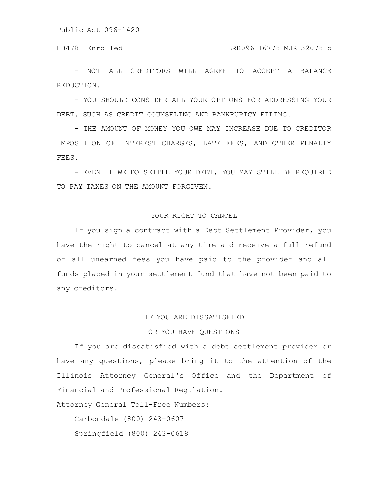HB4781 Enrolled LRB096 16778 MJR 32078 b

- NOT ALL CREDITORS WILL AGREE TO ACCEPT A BALANCE REDUCTION.

- YOU SHOULD CONSIDER ALL YOUR OPTIONS FOR ADDRESSING YOUR DEBT, SUCH AS CREDIT COUNSELING AND BANKRUPTCY FILING.

- THE AMOUNT OF MONEY YOU OWE MAY INCREASE DUE TO CREDITOR IMPOSITION OF INTEREST CHARGES, LATE FEES, AND OTHER PENALTY FEES.

- EVEN IF WE DO SETTLE YOUR DEBT, YOU MAY STILL BE REQUIRED TO PAY TAXES ON THE AMOUNT FORGIVEN.

### YOUR RIGHT TO CANCEL

If you sign a contract with a Debt Settlement Provider, you have the right to cancel at any time and receive a full refund of all unearned fees you have paid to the provider and all funds placed in your settlement fund that have not been paid to any creditors.

## IF YOU ARE DISSATISFIED

### OR YOU HAVE QUESTIONS

If you are dissatisfied with a debt settlement provider or have any questions, please bring it to the attention of the Illinois Attorney General's Office and the Department of Financial and Professional Regulation.

Attorney General Toll-Free Numbers:

Carbondale (800) 243-0607

Springfield (800) 243-0618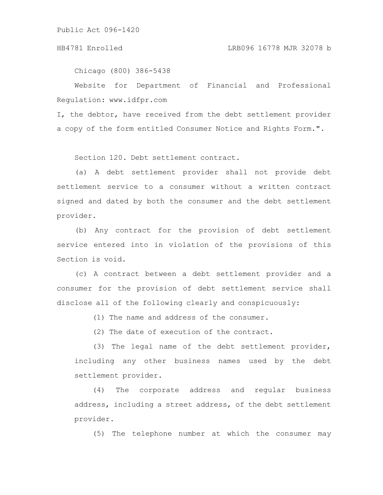### HB4781 Enrolled LRB096 16778 MJR 32078 b

Chicago (800) 386-5438

Website for Department of Financial and Professional Regulation: www.idfpr.com

I, the debtor, have received from the debt settlement provider a copy of the form entitled Consumer Notice and Rights Form.".

Section 120. Debt settlement contract.

(a) A debt settlement provider shall not provide debt settlement service to a consumer without a written contract signed and dated by both the consumer and the debt settlement provider.

(b) Any contract for the provision of debt settlement service entered into in violation of the provisions of this Section is void.

(c) A contract between a debt settlement provider and a consumer for the provision of debt settlement service shall disclose all of the following clearly and conspicuously:

(1) The name and address of the consumer.

(2) The date of execution of the contract.

(3) The legal name of the debt settlement provider, including any other business names used by the debt settlement provider.

(4) The corporate address and regular business address, including a street address, of the debt settlement provider.

(5) The telephone number at which the consumer may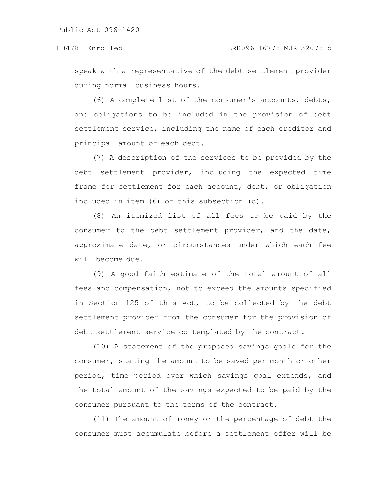speak with a representative of the debt settlement provider during normal business hours.

(6) A complete list of the consumer's accounts, debts, and obligations to be included in the provision of debt settlement service, including the name of each creditor and principal amount of each debt.

(7) A description of the services to be provided by the debt settlement provider, including the expected time frame for settlement for each account, debt, or obligation included in item (6) of this subsection (c).

(8) An itemized list of all fees to be paid by the consumer to the debt settlement provider, and the date, approximate date, or circumstances under which each fee will become due.

(9) A good faith estimate of the total amount of all fees and compensation, not to exceed the amounts specified in Section 125 of this Act, to be collected by the debt settlement provider from the consumer for the provision of debt settlement service contemplated by the contract.

(10) A statement of the proposed savings goals for the consumer, stating the amount to be saved per month or other period, time period over which savings goal extends, and the total amount of the savings expected to be paid by the consumer pursuant to the terms of the contract.

(11) The amount of money or the percentage of debt the consumer must accumulate before a settlement offer will be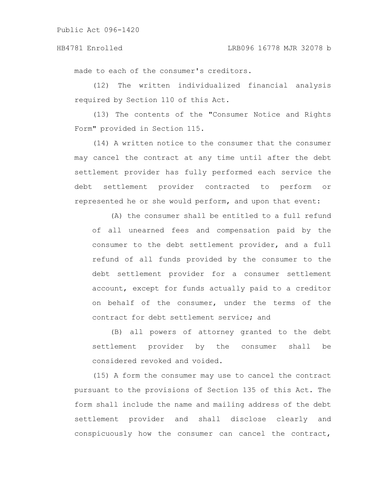made to each of the consumer's creditors.

(12) The written individualized financial analysis required by Section 110 of this Act.

(13) The contents of the "Consumer Notice and Rights Form" provided in Section 115.

(14) A written notice to the consumer that the consumer may cancel the contract at any time until after the debt settlement provider has fully performed each service the debt settlement provider contracted to perform or represented he or she would perform, and upon that event:

(A) the consumer shall be entitled to a full refund of all unearned fees and compensation paid by the consumer to the debt settlement provider, and a full refund of all funds provided by the consumer to the debt settlement provider for a consumer settlement account, except for funds actually paid to a creditor on behalf of the consumer, under the terms of the contract for debt settlement service; and

(B) all powers of attorney granted to the debt settlement provider by the consumer shall be considered revoked and voided.

(15) A form the consumer may use to cancel the contract pursuant to the provisions of Section 135 of this Act. The form shall include the name and mailing address of the debt settlement provider and shall disclose clearly and conspicuously how the consumer can cancel the contract,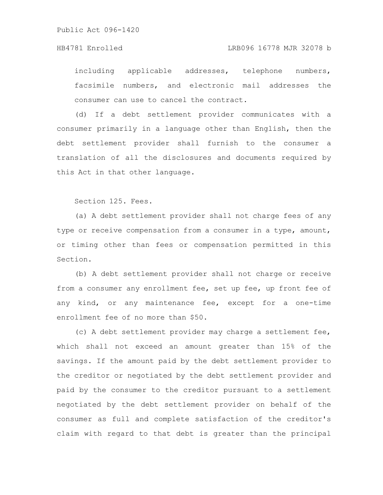### HB4781 Enrolled LRB096 16778 MJR 32078 b

including applicable addresses, telephone numbers, facsimile numbers, and electronic mail addresses the consumer can use to cancel the contract.

(d) If a debt settlement provider communicates with a consumer primarily in a language other than English, then the debt settlement provider shall furnish to the consumer a translation of all the disclosures and documents required by this Act in that other language.

Section 125. Fees.

(a) A debt settlement provider shall not charge fees of any type or receive compensation from a consumer in a type, amount, or timing other than fees or compensation permitted in this Section.

(b) A debt settlement provider shall not charge or receive from a consumer any enrollment fee, set up fee, up front fee of any kind, or any maintenance fee, except for a one-time enrollment fee of no more than \$50.

(c) A debt settlement provider may charge a settlement fee, which shall not exceed an amount greater than 15% of the savings. If the amount paid by the debt settlement provider to the creditor or negotiated by the debt settlement provider and paid by the consumer to the creditor pursuant to a settlement negotiated by the debt settlement provider on behalf of the consumer as full and complete satisfaction of the creditor's claim with regard to that debt is greater than the principal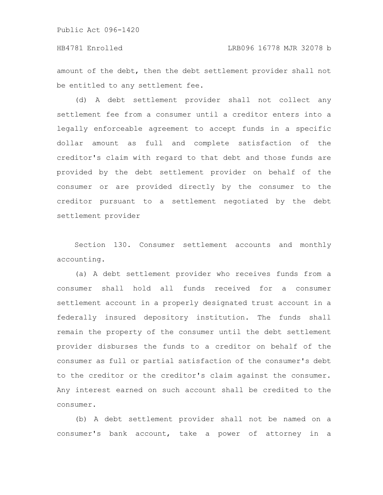### HB4781 Enrolled LRB096 16778 MJR 32078 b

amount of the debt, then the debt settlement provider shall not be entitled to any settlement fee.

(d) A debt settlement provider shall not collect any settlement fee from a consumer until a creditor enters into a legally enforceable agreement to accept funds in a specific dollar amount as full and complete satisfaction of the creditor's claim with regard to that debt and those funds are provided by the debt settlement provider on behalf of the consumer or are provided directly by the consumer to the creditor pursuant to a settlement negotiated by the debt settlement provider

Section 130. Consumer settlement accounts and monthly accounting.

(a) A debt settlement provider who receives funds from a consumer shall hold all funds received for a consumer settlement account in a properly designated trust account in a federally insured depository institution. The funds shall remain the property of the consumer until the debt settlement provider disburses the funds to a creditor on behalf of the consumer as full or partial satisfaction of the consumer's debt to the creditor or the creditor's claim against the consumer. Any interest earned on such account shall be credited to the consumer.

(b) A debt settlement provider shall not be named on a consumer's bank account, take a power of attorney in a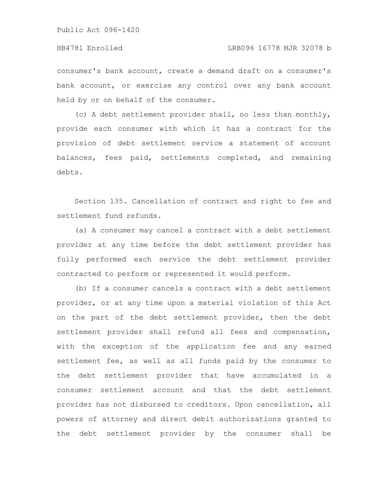consumer's bank account, create a demand draft on a consumer's bank account, or exercise any control over any bank account held by or on behalf of the consumer.

(c) A debt settlement provider shall, no less than monthly, provide each consumer with which it has a contract for the provision of debt settlement service a statement of account balances, fees paid, settlements completed, and remaining debts.

Section 135. Cancellation of contract and right to fee and settlement fund refunds.

(a) A consumer may cancel a contract with a debt settlement provider at any time before the debt settlement provider has fully performed each service the debt settlement provider contracted to perform or represented it would perform.

(b) If a consumer cancels a contract with a debt settlement provider, or at any time upon a material violation of this Act on the part of the debt settlement provider, then the debt settlement provider shall refund all fees and compensation, with the exception of the application fee and any earned settlement fee, as well as all funds paid by the consumer to the debt settlement provider that have accumulated in a consumer settlement account and that the debt settlement provider has not disbursed to creditors. Upon cancellation, all powers of attorney and direct debit authorizations granted to the debt settlement provider by the consumer shall be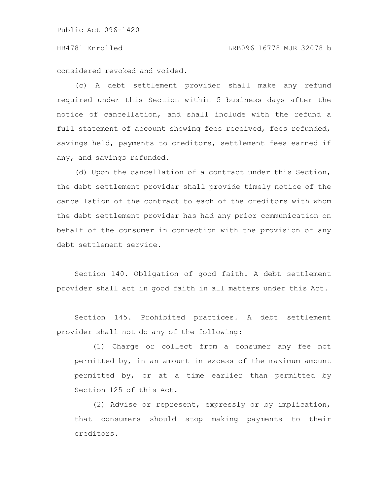### HB4781 Enrolled LRB096 16778 MJR 32078 b

considered revoked and voided.

(c) A debt settlement provider shall make any refund required under this Section within 5 business days after the notice of cancellation, and shall include with the refund a full statement of account showing fees received, fees refunded, savings held, payments to creditors, settlement fees earned if any, and savings refunded.

(d) Upon the cancellation of a contract under this Section, the debt settlement provider shall provide timely notice of the cancellation of the contract to each of the creditors with whom the debt settlement provider has had any prior communication on behalf of the consumer in connection with the provision of any debt settlement service.

Section 140. Obligation of good faith. A debt settlement provider shall act in good faith in all matters under this Act.

Section 145. Prohibited practices. A debt settlement provider shall not do any of the following:

(1) Charge or collect from a consumer any fee not permitted by, in an amount in excess of the maximum amount permitted by, or at a time earlier than permitted by Section 125 of this Act.

(2) Advise or represent, expressly or by implication, that consumers should stop making payments to their creditors.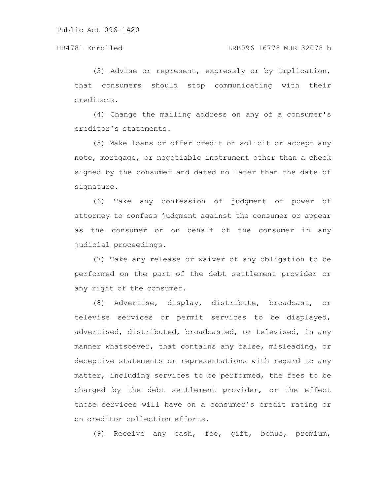(3) Advise or represent, expressly or by implication, that consumers should stop communicating with their creditors.

(4) Change the mailing address on any of a consumer's creditor's statements.

(5) Make loans or offer credit or solicit or accept any note, mortgage, or negotiable instrument other than a check signed by the consumer and dated no later than the date of signature.

(6) Take any confession of judgment or power of attorney to confess judgment against the consumer or appear as the consumer or on behalf of the consumer in any judicial proceedings.

(7) Take any release or waiver of any obligation to be performed on the part of the debt settlement provider or any right of the consumer.

(8) Advertise, display, distribute, broadcast, or televise services or permit services to be displayed, advertised, distributed, broadcasted, or televised, in any manner whatsoever, that contains any false, misleading, or deceptive statements or representations with regard to any matter, including services to be performed, the fees to be charged by the debt settlement provider, or the effect those services will have on a consumer's credit rating or on creditor collection efforts.

(9) Receive any cash, fee, gift, bonus, premium,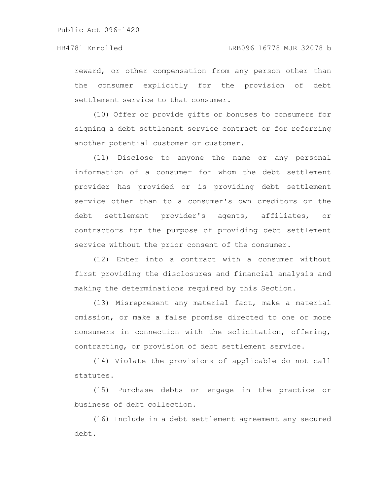reward, or other compensation from any person other than the consumer explicitly for the provision of debt settlement service to that consumer.

(10) Offer or provide gifts or bonuses to consumers for signing a debt settlement service contract or for referring another potential customer or customer.

(11) Disclose to anyone the name or any personal information of a consumer for whom the debt settlement provider has provided or is providing debt settlement service other than to a consumer's own creditors or the debt settlement provider's agents, affiliates, or contractors for the purpose of providing debt settlement service without the prior consent of the consumer.

(12) Enter into a contract with a consumer without first providing the disclosures and financial analysis and making the determinations required by this Section.

(13) Misrepresent any material fact, make a material omission, or make a false promise directed to one or more consumers in connection with the solicitation, offering, contracting, or provision of debt settlement service.

(14) Violate the provisions of applicable do not call statutes.

(15) Purchase debts or engage in the practice or business of debt collection.

(16) Include in a debt settlement agreement any secured debt.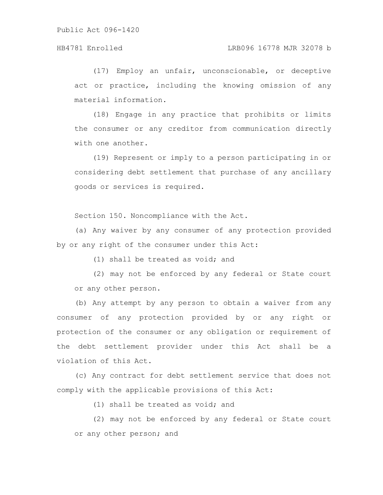(17) Employ an unfair, unconscionable, or deceptive act or practice, including the knowing omission of any material information.

(18) Engage in any practice that prohibits or limits the consumer or any creditor from communication directly with one another.

(19) Represent or imply to a person participating in or considering debt settlement that purchase of any ancillary goods or services is required.

Section 150. Noncompliance with the Act.

(a) Any waiver by any consumer of any protection provided by or any right of the consumer under this Act:

(1) shall be treated as void; and

(2) may not be enforced by any federal or State court or any other person.

(b) Any attempt by any person to obtain a waiver from any consumer of any protection provided by or any right or protection of the consumer or any obligation or requirement of the debt settlement provider under this Act shall be a violation of this Act.

(c) Any contract for debt settlement service that does not comply with the applicable provisions of this Act:

(1) shall be treated as void; and

(2) may not be enforced by any federal or State court or any other person; and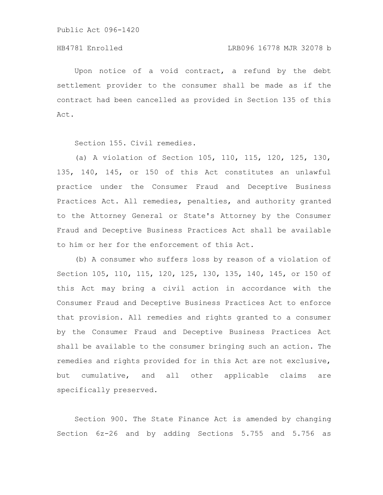Upon notice of a void contract, a refund by the debt settlement provider to the consumer shall be made as if the contract had been cancelled as provided in Section 135 of this Act.

Section 155. Civil remedies.

(a) A violation of Section 105, 110, 115, 120, 125, 130, 135, 140, 145, or 150 of this Act constitutes an unlawful practice under the Consumer Fraud and Deceptive Business Practices Act. All remedies, penalties, and authority granted to the Attorney General or State's Attorney by the Consumer Fraud and Deceptive Business Practices Act shall be available to him or her for the enforcement of this Act.

(b) A consumer who suffers loss by reason of a violation of Section 105, 110, 115, 120, 125, 130, 135, 140, 145, or 150 of this Act may bring a civil action in accordance with the Consumer Fraud and Deceptive Business Practices Act to enforce that provision. All remedies and rights granted to a consumer by the Consumer Fraud and Deceptive Business Practices Act shall be available to the consumer bringing such an action. The remedies and rights provided for in this Act are not exclusive, but cumulative, and all other applicable claims are specifically preserved.

Section 900. The State Finance Act is amended by changing Section 6z-26 and by adding Sections 5.755 and 5.756 as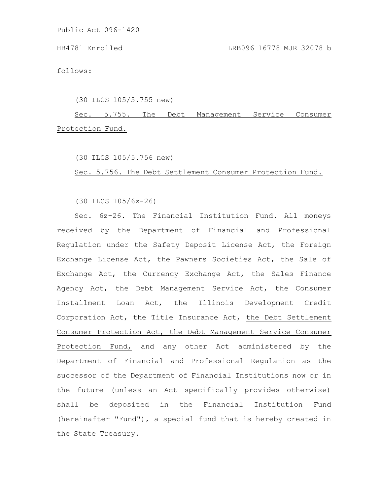follows:

(30 ILCS 105/5.755 new)

Sec. 5.755. The Debt Management Service Consumer Protection Fund.

(30 ILCS 105/5.756 new)

Sec. 5.756. The Debt Settlement Consumer Protection Fund.

(30 ILCS 105/6z-26)

Sec. 6z-26. The Financial Institution Fund. All moneys received by the Department of Financial and Professional Regulation under the Safety Deposit License Act, the Foreign Exchange License Act, the Pawners Societies Act, the Sale of Exchange Act, the Currency Exchange Act, the Sales Finance Agency Act, the Debt Management Service Act, the Consumer Installment Loan Act, the Illinois Development Credit Corporation Act, the Title Insurance Act, the Debt Settlement Consumer Protection Act, the Debt Management Service Consumer Protection Fund, and any other Act administered by the Department of Financial and Professional Regulation as the successor of the Department of Financial Institutions now or in the future (unless an Act specifically provides otherwise) shall be deposited in the Financial Institution Fund (hereinafter "Fund"), a special fund that is hereby created in the State Treasury.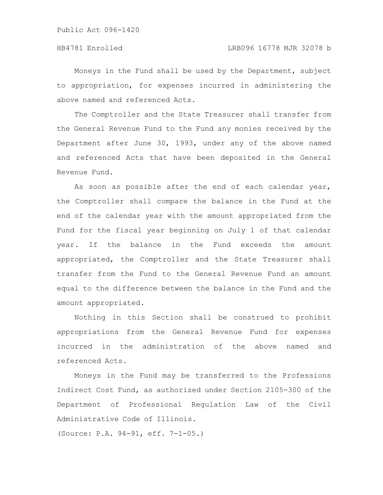Moneys in the Fund shall be used by the Department, subject to appropriation, for expenses incurred in administering the above named and referenced Acts.

The Comptroller and the State Treasurer shall transfer from the General Revenue Fund to the Fund any monies received by the Department after June 30, 1993, under any of the above named and referenced Acts that have been deposited in the General Revenue Fund.

As soon as possible after the end of each calendar year, the Comptroller shall compare the balance in the Fund at the end of the calendar year with the amount appropriated from the Fund for the fiscal year beginning on July 1 of that calendar year. If the balance in the Fund exceeds the amount appropriated, the Comptroller and the State Treasurer shall transfer from the Fund to the General Revenue Fund an amount equal to the difference between the balance in the Fund and the amount appropriated.

Nothing in this Section shall be construed to prohibit appropriations from the General Revenue Fund for expenses incurred in the administration of the above named and referenced Acts.

Moneys in the Fund may be transferred to the Professions Indirect Cost Fund, as authorized under Section 2105-300 of the Department of Professional Regulation Law of the Civil Administrative Code of Illinois.

(Source: P.A. 94-91, eff. 7-1-05.)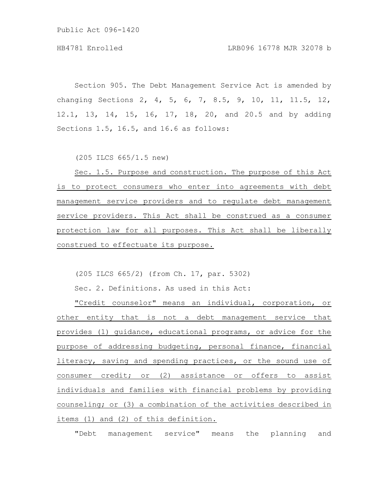Section 905. The Debt Management Service Act is amended by changing Sections 2, 4, 5, 6, 7, 8.5, 9, 10, 11, 11.5, 12, 12.1, 13, 14, 15, 16, 17, 18, 20, and 20.5 and by adding Sections 1.5, 16.5, and 16.6 as follows:

(205 ILCS 665/1.5 new)

Sec. 1.5. Purpose and construction. The purpose of this Act is to protect consumers who enter into agreements with debt management service providers and to regulate debt management service providers. This Act shall be construed as a consumer protection law for all purposes. This Act shall be liberally construed to effectuate its purpose.

(205 ILCS 665/2) (from Ch. 17, par. 5302)

Sec. 2. Definitions. As used in this Act:

"Credit counselor" means an individual, corporation, or other entity that is not a debt management service that provides (1) guidance, educational programs, or advice for the purpose of addressing budgeting, personal finance, financial literacy, saving and spending practices, or the sound use of consumer credit; or (2) assistance or offers to assist individuals and families with financial problems by providing counseling; or (3) a combination of the activities described in items (1) and (2) of this definition.

"Debt management service" means the planning and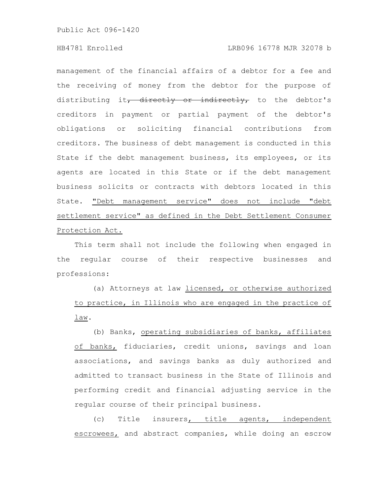management of the financial affairs of a debtor for a fee and the receiving of money from the debtor for the purpose of distributing it, directly or indirectly, to the debtor's creditors in payment or partial payment of the debtor's obligations or soliciting financial contributions from creditors. The business of debt management is conducted in this State if the debt management business, its employees, or its agents are located in this State or if the debt management business solicits or contracts with debtors located in this State. "Debt management service" does not include "debt settlement service" as defined in the Debt Settlement Consumer Protection Act.

This term shall not include the following when engaged in the regular course of their respective businesses and professions:

(a) Attorneys at law licensed, or otherwise authorized to practice, in Illinois who are engaged in the practice of law.

(b) Banks, operating subsidiaries of banks, affiliates of banks, fiduciaries, credit unions, savings and loan associations, and savings banks as duly authorized and admitted to transact business in the State of Illinois and performing credit and financial adjusting service in the regular course of their principal business.

(c) Title insurers, title agents, independent escrowees, and abstract companies, while doing an escrow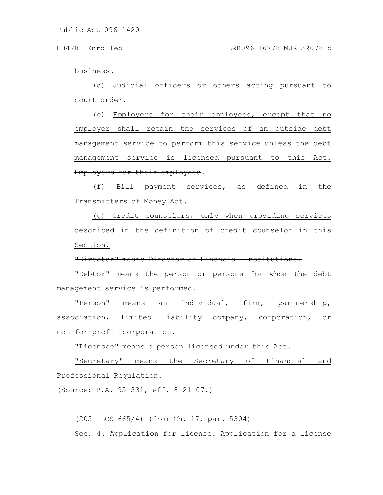business.

(d) Judicial officers or others acting pursuant to court order.

(e) Employers for their employees, except that no employer shall retain the services of an outside debt management service to perform this service unless the debt management service is licensed pursuant to this Act. Employers for their employees.

(f) Bill payment services, as defined in the Transmitters of Money Act.

(g) Credit counselors, only when providing services described in the definition of credit counselor in this Section.

# "Director" means Director of Financial Institutions.

"Debtor" means the person or persons for whom the debt management service is performed.

"Person" means an individual, firm, partnership, association, limited liability company, corporation, or not-for-profit corporation.

"Licensee" means a person licensed under this Act.

"Secretary" means the Secretary of Financial and Professional Regulation.

(Source: P.A. 95-331, eff. 8-21-07.)

(205 ILCS 665/4) (from Ch. 17, par. 5304) Sec. 4. Application for license. Application for a license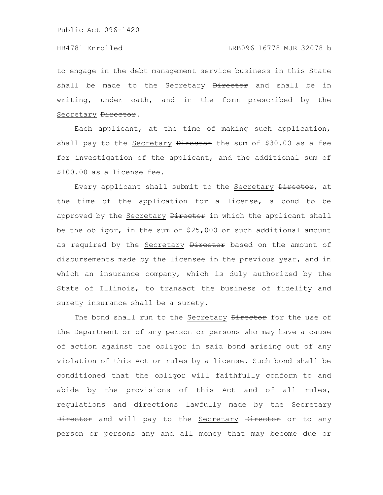# HB4781 Enrolled LRB096 16778 MJR 32078 b

to engage in the debt management service business in this State shall be made to the Secretary Director and shall be in writing, under oath, and in the form prescribed by the Secretary Director.

Each applicant, at the time of making such application, shall pay to the Secretary Director the sum of \$30.00 as a fee for investigation of the applicant, and the additional sum of \$100.00 as a license fee.

Every applicant shall submit to the Secretary Director, at the time of the application for a license, a bond to be approved by the Secretary Director in which the applicant shall be the obligor, in the sum of \$25,000 or such additional amount as required by the Secretary Director based on the amount of disbursements made by the licensee in the previous year, and in which an insurance company, which is duly authorized by the State of Illinois, to transact the business of fidelity and surety insurance shall be a surety.

The bond shall run to the Secretary Director for the use of the Department or of any person or persons who may have a cause of action against the obligor in said bond arising out of any violation of this Act or rules by a license. Such bond shall be conditioned that the obligor will faithfully conform to and abide by the provisions of this Act and of all rules, regulations and directions lawfully made by the Secretary Director and will pay to the Secretary Director or to any person or persons any and all money that may become due or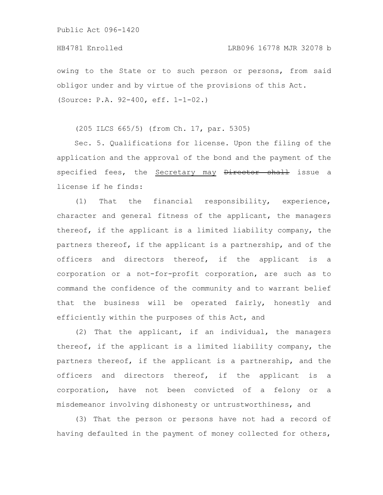owing to the State or to such person or persons, from said obligor under and by virtue of the provisions of this Act. (Source: P.A. 92-400, eff. 1-1-02.)

(205 ILCS 665/5) (from Ch. 17, par. 5305)

Sec. 5. Qualifications for license. Upon the filing of the application and the approval of the bond and the payment of the specified fees, the Secretary may Director shall issue a license if he finds:

(1) That the financial responsibility, experience, character and general fitness of the applicant, the managers thereof, if the applicant is a limited liability company, the partners thereof, if the applicant is a partnership, and of the officers and directors thereof, if the applicant is a corporation or a not-for-profit corporation, are such as to command the confidence of the community and to warrant belief that the business will be operated fairly, honestly and efficiently within the purposes of this Act, and

(2) That the applicant, if an individual, the managers thereof, if the applicant is a limited liability company, the partners thereof, if the applicant is a partnership, and the officers and directors thereof, if the applicant is a corporation, have not been convicted of a felony or a misdemeanor involving dishonesty or untrustworthiness, and

(3) That the person or persons have not had a record of having defaulted in the payment of money collected for others,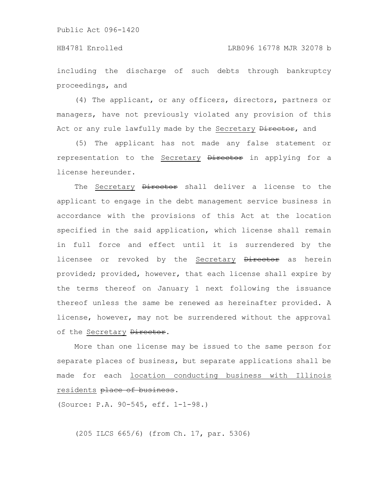including the discharge of such debts through bankruptcy proceedings, and

(4) The applicant, or any officers, directors, partners or managers, have not previously violated any provision of this Act or any rule lawfully made by the Secretary **Director**, and

(5) The applicant has not made any false statement or representation to the Secretary Director in applying for a license hereunder.

The Secretary Director shall deliver a license to the applicant to engage in the debt management service business in accordance with the provisions of this Act at the location specified in the said application, which license shall remain in full force and effect until it is surrendered by the licensee or revoked by the Secretary Director as herein provided; provided, however, that each license shall expire by the terms thereof on January 1 next following the issuance thereof unless the same be renewed as hereinafter provided. A license, however, may not be surrendered without the approval of the Secretary Director.

More than one license may be issued to the same person for separate places of business, but separate applications shall be made for each location conducting business with Illinois residents place of business.

(Source: P.A. 90-545, eff. 1-1-98.)

(205 ILCS 665/6) (from Ch. 17, par. 5306)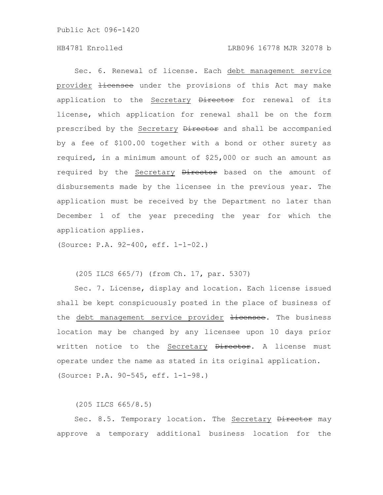Sec. 6. Renewal of license. Each debt management service provider Hicensee under the provisions of this Act may make application to the Secretary Director for renewal of its license, which application for renewal shall be on the form prescribed by the Secretary Director and shall be accompanied by a fee of \$100.00 together with a bond or other surety as required, in a minimum amount of \$25,000 or such an amount as required by the Secretary Director based on the amount of disbursements made by the licensee in the previous year. The application must be received by the Department no later than December 1 of the year preceding the year for which the application applies.

(Source: P.A. 92-400, eff. 1-1-02.)

### (205 ILCS 665/7) (from Ch. 17, par. 5307)

Sec. 7. License, display and location. Each license issued shall be kept conspicuously posted in the place of business of the debt management service provider **Hicensee**. The business location may be changed by any licensee upon 10 days prior written notice to the Secretary Director. A license must operate under the name as stated in its original application. (Source: P.A. 90-545, eff. 1-1-98.)

(205 ILCS 665/8.5)

Sec. 8.5. Temporary location. The Secretary Director may approve a temporary additional business location for the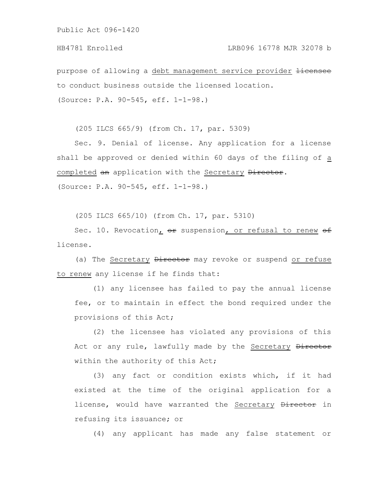## HB4781 Enrolled LRB096 16778 MJR 32078 b

purpose of allowing a debt management service provider <del>licensee</del> to conduct business outside the licensed location. (Source: P.A. 90-545, eff. 1-1-98.)

(205 ILCS 665/9) (from Ch. 17, par. 5309)

Sec. 9. Denial of license. Any application for a license shall be approved or denied within 60 days of the filing of a completed an application with the Secretary Director. (Source: P.A. 90-545, eff. 1-1-98.)

(205 ILCS 665/10) (from Ch. 17, par. 5310)

Sec. 10. Revocation, or suspension, or refusal to renew of license.

(a) The Secretary Director may revoke or suspend or refuse to renew any license if he finds that:

(1) any licensee has failed to pay the annual license fee, or to maintain in effect the bond required under the provisions of this Act;

(2) the licensee has violated any provisions of this Act or any rule, lawfully made by the Secretary Director within the authority of this Act;

(3) any fact or condition exists which, if it had existed at the time of the original application for a license, would have warranted the Secretary Director in refusing its issuance; or

(4) any applicant has made any false statement or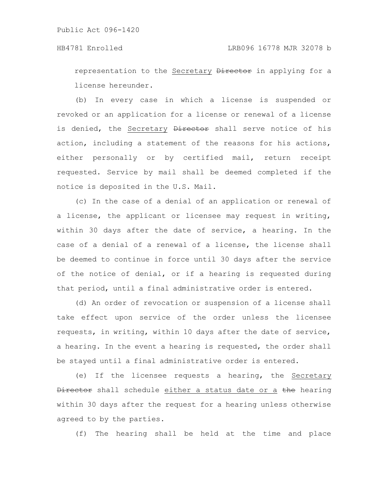representation to the Secretary **Director** in applying for a license hereunder.

(b) In every case in which a license is suspended or revoked or an application for a license or renewal of a license is denied, the Secretary Director shall serve notice of his action, including a statement of the reasons for his actions, either personally or by certified mail, return receipt requested. Service by mail shall be deemed completed if the notice is deposited in the U.S. Mail.

(c) In the case of a denial of an application or renewal of a license, the applicant or licensee may request in writing, within 30 days after the date of service, a hearing. In the case of a denial of a renewal of a license, the license shall be deemed to continue in force until 30 days after the service of the notice of denial, or if a hearing is requested during that period, until a final administrative order is entered.

(d) An order of revocation or suspension of a license shall take effect upon service of the order unless the licensee requests, in writing, within 10 days after the date of service, a hearing. In the event a hearing is requested, the order shall be stayed until a final administrative order is entered.

(e) If the licensee requests a hearing, the Secretary Director shall schedule either a status date or a the hearing within 30 days after the request for a hearing unless otherwise agreed to by the parties.

(f) The hearing shall be held at the time and place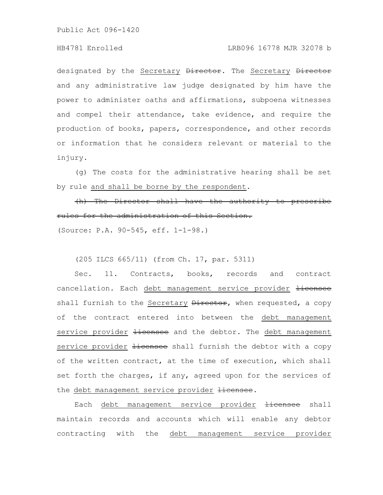### HB4781 Enrolled LRB096 16778 MJR 32078 b

designated by the Secretary Director. The Secretary Director and any administrative law judge designated by him have the power to administer oaths and affirmations, subpoena witnesses and compel their attendance, take evidence, and require the production of books, papers, correspondence, and other records or information that he considers relevant or material to the injury.

(g) The costs for the administrative hearing shall be set by rule and shall be borne by the respondent.

(h) The Director shall have the authority to prescribe rules for the administration of this Section. (Source: P.A. 90-545, eff. 1-1-98.)

(205 ILCS 665/11) (from Ch. 17, par. 5311)

Sec. 11. Contracts, books, records and contract cancellation. Each debt management service provider licensee shall furnish to the Secretary Director, when requested, a copy of the contract entered into between the debt management service provider *licensee* and the debtor. The debt management service provider *licensee* shall furnish the debtor with a copy of the written contract, at the time of execution, which shall set forth the charges, if any, agreed upon for the services of the debt management service provider Hicensee.

Each debt management service provider Hicensee shall maintain records and accounts which will enable any debtor contracting with the debt management service provider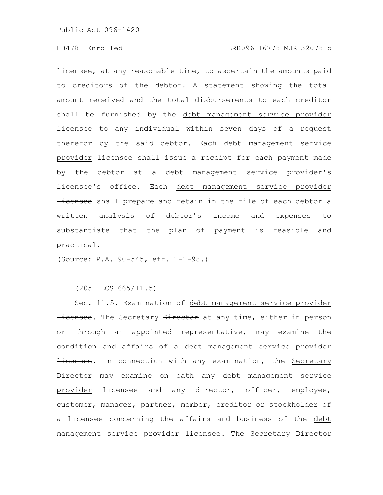**licensee,** at any reasonable time, to ascertain the amounts paid to creditors of the debtor. A statement showing the total amount received and the total disbursements to each creditor shall be furnished by the debt management service provider Hicensee to any individual within seven days of a request therefor by the said debtor. Each debt management service provider *licensee* shall issue a receipt for each payment made by the debtor at a debt management service provider's **licensee's** office. Each debt management service provider Hicensee shall prepare and retain in the file of each debtor a written analysis of debtor's income and expenses to substantiate that the plan of payment is feasible and practical.

(Source: P.A. 90-545, eff. 1-1-98.)

(205 ILCS 665/11.5)

Sec. 11.5. Examination of debt management service provider Hicensee. The Secretary Director at any time, either in person or through an appointed representative, may examine the condition and affairs of a debt management service provider **licensee.** In connection with any examination, the Secretary Director may examine on oath any debt management service provider <del>licensee</del> and any director, officer, employee, customer, manager, partner, member, creditor or stockholder of a licensee concerning the affairs and business of the debt management service provider *licensee*. The Secretary Director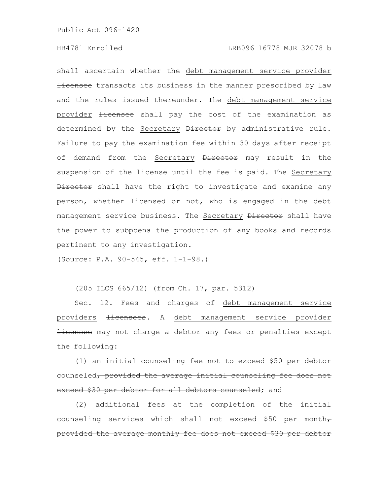shall ascertain whether the debt management service provider **Hicensee** transacts its business in the manner prescribed by law and the rules issued thereunder. The debt management service provider Hicensee shall pay the cost of the examination as determined by the Secretary Director by administrative rule. Failure to pay the examination fee within 30 days after receipt of demand from the Secretary Director may result in the suspension of the license until the fee is paid. The Secretary **Director** shall have the right to investigate and examine any person, whether licensed or not, who is engaged in the debt management service business. The Secretary Director shall have the power to subpoena the production of any books and records pertinent to any investigation.

(Source: P.A. 90-545, eff. 1-1-98.)

(205 ILCS 665/12) (from Ch. 17, par. 5312)

Sec. 12. Fees and charges of debt management service providers *licensees*. A debt management service provider Hicensee may not charge a debtor any fees or penalties except the following:

(1) an initial counseling fee not to exceed \$50 per debtor counseled, provided the average initial counseling fee does not exceed \$30 per debtor for all debtors counseled; and

(2) additional fees at the completion of the initial counseling services which shall not exceed \$50 per month $\tau$ provided the average monthly fee does not exceed \$30 per debtor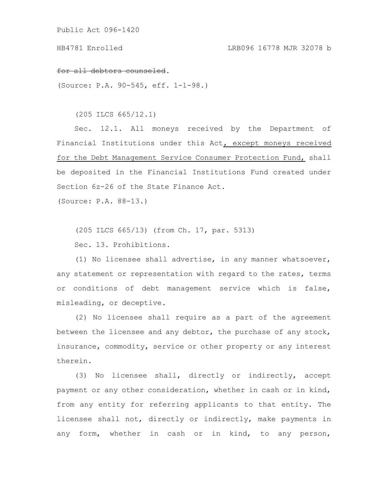### for all debtors counseled.

(Source: P.A. 90-545, eff. 1-1-98.)

(205 ILCS 665/12.1)

Sec. 12.1. All moneys received by the Department of Financial Institutions under this Act, except moneys received for the Debt Management Service Consumer Protection Fund, shall be deposited in the Financial Institutions Fund created under Section 6z-26 of the State Finance Act.

(Source: P.A. 88-13.)

(205 ILCS 665/13) (from Ch. 17, par. 5313)

Sec. 13. Prohibitions.

(1) No licensee shall advertise, in any manner whatsoever, any statement or representation with regard to the rates, terms or conditions of debt management service which is false, misleading, or deceptive.

(2) No licensee shall require as a part of the agreement between the licensee and any debtor, the purchase of any stock, insurance, commodity, service or other property or any interest therein.

(3) No licensee shall, directly or indirectly, accept payment or any other consideration, whether in cash or in kind, from any entity for referring applicants to that entity. The licensee shall not, directly or indirectly, make payments in any form, whether in cash or in kind, to any person,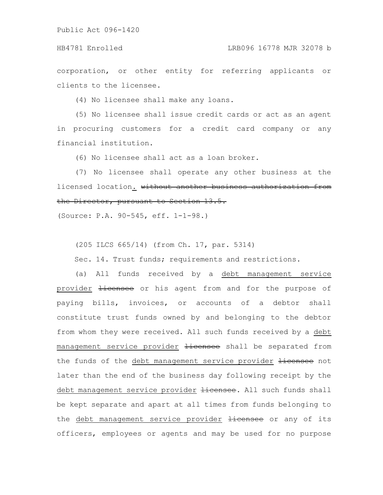corporation, or other entity for referring applicants or clients to the licensee.

(4) No licensee shall make any loans.

(5) No licensee shall issue credit cards or act as an agent in procuring customers for a credit card company or any financial institution.

(6) No licensee shall act as a loan broker.

(7) No licensee shall operate any other business at the licensed location. without another business authorization from the Director, pursuant to Section 13.5.

(Source: P.A. 90-545, eff. 1-1-98.)

(205 ILCS 665/14) (from Ch. 17, par. 5314)

Sec. 14. Trust funds; requirements and restrictions.

(a) All funds received by a debt management service provider *Hicensee* or his agent from and for the purpose of paying bills, invoices, or accounts of a debtor shall constitute trust funds owned by and belonging to the debtor from whom they were received. All such funds received by a debt management service provider licensee shall be separated from the funds of the debt management service provider licensee not later than the end of the business day following receipt by the debt management service provider Hicensee. All such funds shall be kept separate and apart at all times from funds belonging to the debt management service provider Hicensee or any of its officers, employees or agents and may be used for no purpose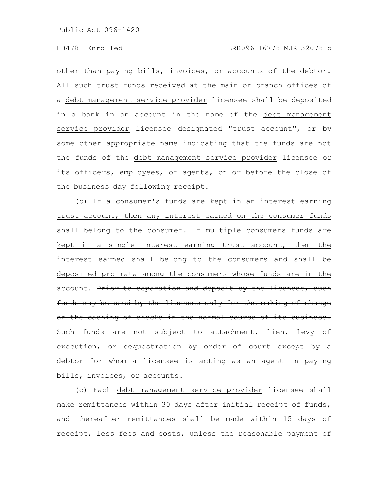other than paying bills, invoices, or accounts of the debtor. All such trust funds received at the main or branch offices of a debt management service provider *licensee* shall be deposited in a bank in an account in the name of the debt management service provider *licensee* designated "trust account", or by some other appropriate name indicating that the funds are not the funds of the debt management service provider Hicensee or its officers, employees, or agents, on or before the close of the business day following receipt.

(b) If a consumer's funds are kept in an interest earning trust account, then any interest earned on the consumer funds shall belong to the consumer. If multiple consumers funds are kept in a single interest earning trust account, then the interest earned shall belong to the consumers and shall be deposited pro rata among the consumers whose funds are in the account. Prior to separation and deposit by the licensee, such funds may be used by the licensee only for the making of change or the cashing of checks in the normal course of its business. Such funds are not subject to attachment, lien, levy of execution, or sequestration by order of court except by a debtor for whom a licensee is acting as an agent in paying bills, invoices, or accounts.

(c) Each debt management service provider Hicensee shall make remittances within 30 days after initial receipt of funds, and thereafter remittances shall be made within 15 days of receipt, less fees and costs, unless the reasonable payment of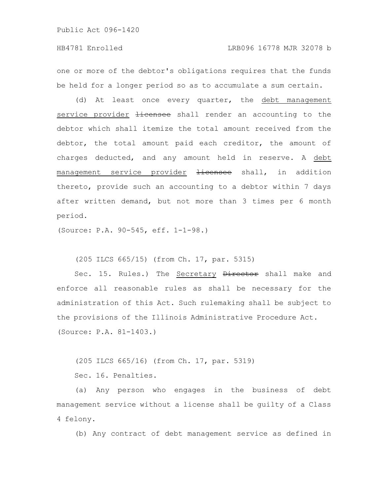one or more of the debtor's obligations requires that the funds be held for a longer period so as to accumulate a sum certain.

(d) At least once every quarter, the debt management service provider *licensee* shall render an accounting to the debtor which shall itemize the total amount received from the debtor, the total amount paid each creditor, the amount of charges deducted, and any amount held in reserve. A debt management service provider Hicensee shall, in addition thereto, provide such an accounting to a debtor within 7 days after written demand, but not more than 3 times per 6 month period.

(Source: P.A. 90-545, eff. 1-1-98.)

(205 ILCS 665/15) (from Ch. 17, par. 5315)

Sec. 15. Rules.) The Secretary **Director** shall make and enforce all reasonable rules as shall be necessary for the administration of this Act. Such rulemaking shall be subject to the provisions of the Illinois Administrative Procedure Act. (Source: P.A. 81-1403.)

(205 ILCS 665/16) (from Ch. 17, par. 5319) Sec. 16. Penalties.

(a) Any person who engages in the business of debt management service without a license shall be guilty of a Class 4 felony.

(b) Any contract of debt management service as defined in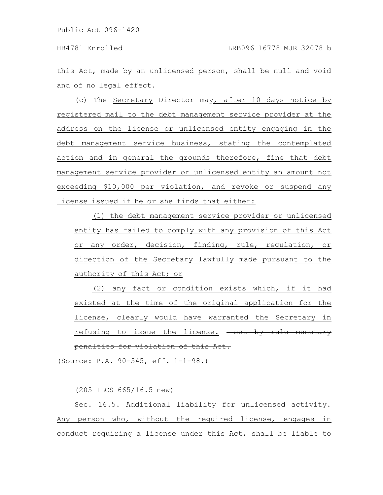this Act, made by an unlicensed person, shall be null and void and of no legal effect.

(c) The Secretary *Director* may, after 10 days notice by registered mail to the debt management service provider at the address on the license or unlicensed entity engaging in the debt management service business, stating the contemplated action and in general the grounds therefore, fine that debt management service provider or unlicensed entity an amount not exceeding \$10,000 per violation, and revoke or suspend any license issued if he or she finds that either:

(1) the debt management service provider or unlicensed entity has failed to comply with any provision of this Act or any order, decision, finding, rule, regulation, or direction of the Secretary lawfully made pursuant to the authority of this Act; or

(2) any fact or condition exists which, if it had existed at the time of the original application for the license, clearly would have warranted the Secretary in refusing to issue the license. - set by rule monetary penalties for violation of this Act.

(Source: P.A. 90-545, eff. 1-1-98.)

(205 ILCS 665/16.5 new)

Sec. 16.5. Additional liability for unlicensed activity. Any person who, without the required license, engages in conduct requiring a license under this Act, shall be liable to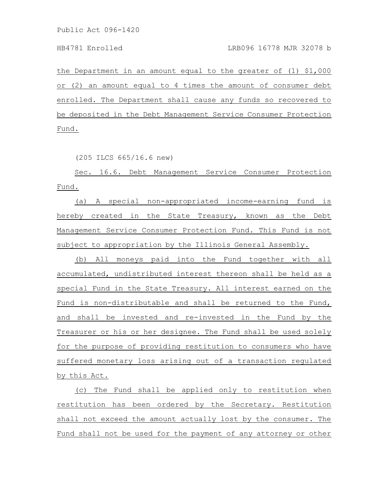the Department in an amount equal to the greater of (1) \$1,000 or (2) an amount equal to 4 times the amount of consumer debt enrolled. The Department shall cause any funds so recovered to be deposited in the Debt Management Service Consumer Protection Fund.

(205 ILCS 665/16.6 new)

Sec. 16.6. Debt Management Service Consumer Protection Fund.

(a) A special non-appropriated income-earning fund is hereby created in the State Treasury, known as the Debt Management Service Consumer Protection Fund. This Fund is not subject to appropriation by the Illinois General Assembly.

(b) All moneys paid into the Fund together with all accumulated, undistributed interest thereon shall be held as a special Fund in the State Treasury. All interest earned on the Fund is non-distributable and shall be returned to the Fund, and shall be invested and re-invested in the Fund by the Treasurer or his or her designee. The Fund shall be used solely for the purpose of providing restitution to consumers who have suffered monetary loss arising out of a transaction regulated by this Act.

(c) The Fund shall be applied only to restitution when restitution has been ordered by the Secretary. Restitution shall not exceed the amount actually lost by the consumer. The Fund shall not be used for the payment of any attorney or other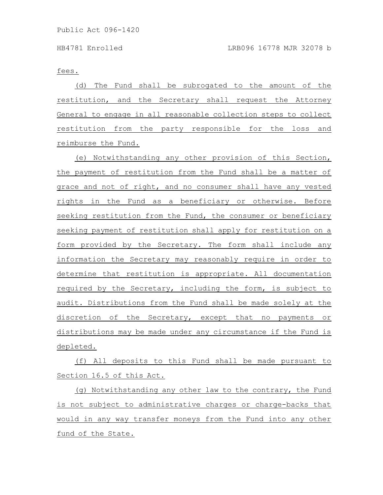fees.

(d) The Fund shall be subrogated to the amount of the restitution, and the Secretary shall request the Attorney General to engage in all reasonable collection steps to collect restitution from the party responsible for the loss and reimburse the Fund.

(e) Notwithstanding any other provision of this Section, the payment of restitution from the Fund shall be a matter of grace and not of right, and no consumer shall have any vested rights in the Fund as a beneficiary or otherwise. Before seeking restitution from the Fund, the consumer or beneficiary seeking payment of restitution shall apply for restitution on a form provided by the Secretary. The form shall include any information the Secretary may reasonably require in order to determine that restitution is appropriate. All documentation required by the Secretary, including the form, is subject to audit. Distributions from the Fund shall be made solely at the discretion of the Secretary, except that no payments or distributions may be made under any circumstance if the Fund is depleted.

(f) All deposits to this Fund shall be made pursuant to Section 16.5 of this Act.

(g) Notwithstanding any other law to the contrary, the Fund is not subject to administrative charges or charge-backs that would in any way transfer moneys from the Fund into any other fund of the State.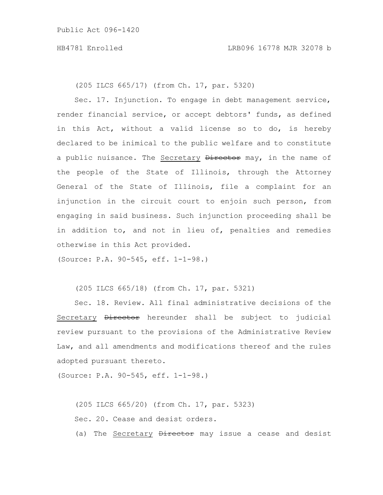(205 ILCS 665/17) (from Ch. 17, par. 5320)

Sec. 17. Injunction. To engage in debt management service, render financial service, or accept debtors' funds, as defined in this Act, without a valid license so to do, is hereby declared to be inimical to the public welfare and to constitute a public nuisance. The Secretary Director may, in the name of the people of the State of Illinois, through the Attorney General of the State of Illinois, file a complaint for an injunction in the circuit court to enjoin such person, from engaging in said business. Such injunction proceeding shall be in addition to, and not in lieu of, penalties and remedies otherwise in this Act provided.

(Source: P.A. 90-545, eff. 1-1-98.)

(205 ILCS 665/18) (from Ch. 17, par. 5321)

Sec. 18. Review. All final administrative decisions of the Secretary **Director** hereunder shall be subject to judicial review pursuant to the provisions of the Administrative Review Law, and all amendments and modifications thereof and the rules adopted pursuant thereto.

(Source: P.A. 90-545, eff. 1-1-98.)

(205 ILCS 665/20) (from Ch. 17, par. 5323) Sec. 20. Cease and desist orders. (a) The Secretary *Director* may issue a cease and desist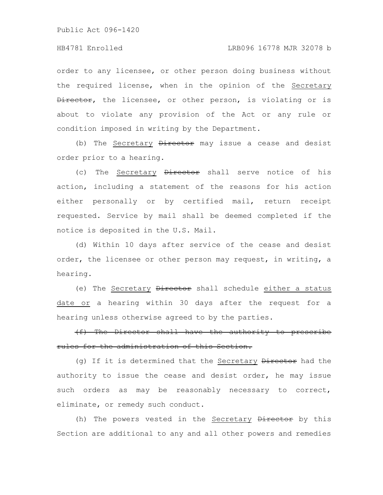order to any licensee, or other person doing business without the required license, when in the opinion of the Secretary Director, the licensee, or other person, is violating or is about to violate any provision of the Act or any rule or condition imposed in writing by the Department.

(b) The Secretary *Director* may issue a cease and desist order prior to a hearing.

(c) The Secretary Director shall serve notice of his action, including a statement of the reasons for his action either personally or by certified mail, return receipt requested. Service by mail shall be deemed completed if the notice is deposited in the U.S. Mail.

(d) Within 10 days after service of the cease and desist order, the licensee or other person may request, in writing, a hearing.

(e) The Secretary *Director* shall schedule either a status date or a hearing within 30 days after the request for a hearing unless otherwise agreed to by the parties.

(f) The Director shall have the authority to prescribe rules for the administration of this Section.

(g) If it is determined that the Secretary Director had the authority to issue the cease and desist order, he may issue such orders as may be reasonably necessary to correct, eliminate, or remedy such conduct.

(h) The powers vested in the Secretary Director by this Section are additional to any and all other powers and remedies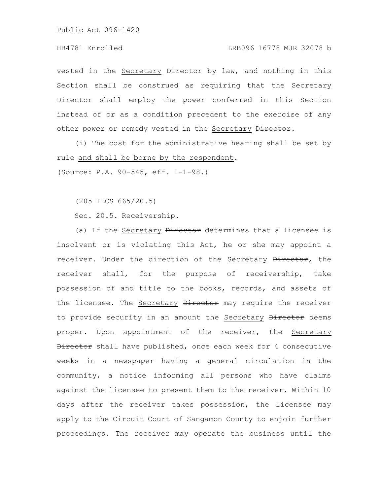# HB4781 Enrolled LRB096 16778 MJR 32078 b

vested in the Secretary Director by law, and nothing in this Section shall be construed as requiring that the Secretary Director shall employ the power conferred in this Section instead of or as a condition precedent to the exercise of any other power or remedy vested in the Secretary Director.

(i) The cost for the administrative hearing shall be set by rule and shall be borne by the respondent.

(Source: P.A. 90-545, eff. 1-1-98.)

(205 ILCS 665/20.5)

Sec. 20.5. Receivership.

(a) If the Secretary *Director* determines that a licensee is insolvent or is violating this Act, he or she may appoint a receiver. Under the direction of the Secretary Director, the receiver shall, for the purpose of receivership, take possession of and title to the books, records, and assets of the licensee. The Secretary Director may require the receiver to provide security in an amount the Secretary Director deems proper. Upon appointment of the receiver, the Secretary Director shall have published, once each week for 4 consecutive weeks in a newspaper having a general circulation in the community, a notice informing all persons who have claims against the licensee to present them to the receiver. Within 10 days after the receiver takes possession, the licensee may apply to the Circuit Court of Sangamon County to enjoin further proceedings. The receiver may operate the business until the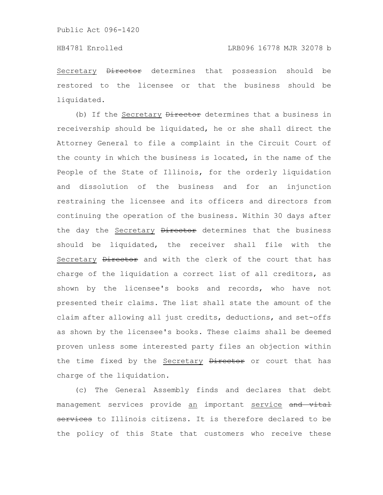Secretary Director determines that possession should be restored to the licensee or that the business should be liquidated.

(b) If the Secretary Director determines that a business in receivership should be liquidated, he or she shall direct the Attorney General to file a complaint in the Circuit Court of the county in which the business is located, in the name of the People of the State of Illinois, for the orderly liquidation and dissolution of the business and for an injunction restraining the licensee and its officers and directors from continuing the operation of the business. Within 30 days after the day the Secretary Director determines that the business should be liquidated, the receiver shall file with the Secretary Director and with the clerk of the court that has charge of the liquidation a correct list of all creditors, as shown by the licensee's books and records, who have not presented their claims. The list shall state the amount of the claim after allowing all just credits, deductions, and set-offs as shown by the licensee's books. These claims shall be deemed proven unless some interested party files an objection within the time fixed by the Secretary Director or court that has charge of the liquidation.

(c) The General Assembly finds and declares that debt management services provide an important service and vital services to Illinois citizens. It is therefore declared to be the policy of this State that customers who receive these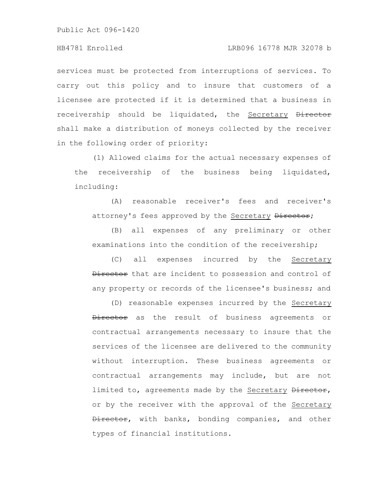### HB4781 Enrolled LRB096 16778 MJR 32078 b

services must be protected from interruptions of services. To carry out this policy and to insure that customers of a licensee are protected if it is determined that a business in receivership should be liquidated, the Secretary Director shall make a distribution of moneys collected by the receiver in the following order of priority:

(1) Allowed claims for the actual necessary expenses of the receivership of the business being liquidated, including:

(A) reasonable receiver's fees and receiver's attorney's fees approved by the Secretary Director;

(B) all expenses of any preliminary or other examinations into the condition of the receivership;

(C) all expenses incurred by the Secretary Director that are incident to possession and control of any property or records of the licensee's business; and

(D) reasonable expenses incurred by the Secretary Director as the result of business agreements or contractual arrangements necessary to insure that the services of the licensee are delivered to the community without interruption. These business agreements or contractual arrangements may include, but are not limited to, agreements made by the Secretary Director, or by the receiver with the approval of the Secretary Director, with banks, bonding companies, and other types of financial institutions.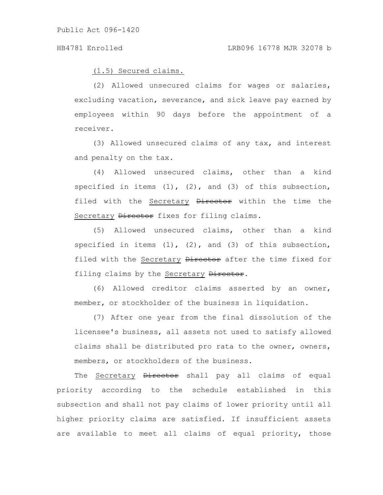(1.5) Secured claims.

(2) Allowed unsecured claims for wages or salaries, excluding vacation, severance, and sick leave pay earned by employees within 90 days before the appointment of a receiver.

(3) Allowed unsecured claims of any tax, and interest and penalty on the tax.

(4) Allowed unsecured claims, other than a kind specified in items  $(1)$ ,  $(2)$ , and  $(3)$  of this subsection, filed with the Secretary **Director** within the time the Secretary Director fixes for filing claims.

(5) Allowed unsecured claims, other than a kind specified in items  $(1)$ ,  $(2)$ , and  $(3)$  of this subsection, filed with the Secretary Director after the time fixed for filing claims by the Secretary Director.

(6) Allowed creditor claims asserted by an owner, member, or stockholder of the business in liquidation.

(7) After one year from the final dissolution of the licensee's business, all assets not used to satisfy allowed claims shall be distributed pro rata to the owner, owners, members, or stockholders of the business.

The Secretary Director shall pay all claims of equal priority according to the schedule established in this subsection and shall not pay claims of lower priority until all higher priority claims are satisfied. If insufficient assets are available to meet all claims of equal priority, those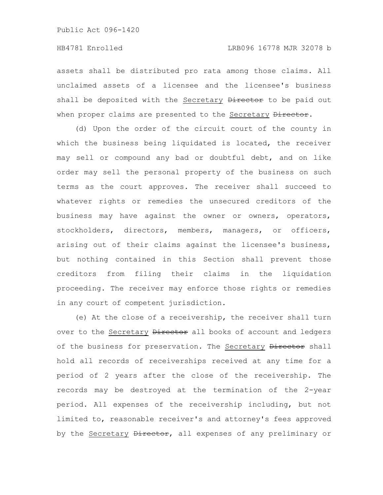assets shall be distributed pro rata among those claims. All unclaimed assets of a licensee and the licensee's business shall be deposited with the Secretary Director to be paid out when proper claims are presented to the Secretary Director.

(d) Upon the order of the circuit court of the county in which the business being liquidated is located, the receiver may sell or compound any bad or doubtful debt, and on like order may sell the personal property of the business on such terms as the court approves. The receiver shall succeed to whatever rights or remedies the unsecured creditors of the business may have against the owner or owners, operators, stockholders, directors, members, managers, or officers, arising out of their claims against the licensee's business, but nothing contained in this Section shall prevent those creditors from filing their claims in the liquidation proceeding. The receiver may enforce those rights or remedies in any court of competent jurisdiction.

(e) At the close of a receivership, the receiver shall turn over to the Secretary Director all books of account and ledgers of the business for preservation. The Secretary Director shall hold all records of receiverships received at any time for a period of 2 years after the close of the receivership. The records may be destroyed at the termination of the 2-year period. All expenses of the receivership including, but not limited to, reasonable receiver's and attorney's fees approved by the Secretary Director, all expenses of any preliminary or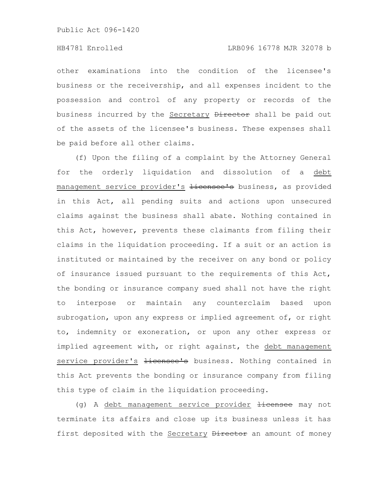other examinations into the condition of the licensee's business or the receivership, and all expenses incident to the possession and control of any property or records of the business incurred by the Secretary Director shall be paid out of the assets of the licensee's business. These expenses shall be paid before all other claims.

(f) Upon the filing of a complaint by the Attorney General for the orderly liquidation and dissolution of a debt management service provider's <del>licensee's</del> business, as provided in this Act, all pending suits and actions upon unsecured claims against the business shall abate. Nothing contained in this Act, however, prevents these claimants from filing their claims in the liquidation proceeding. If a suit or an action is instituted or maintained by the receiver on any bond or policy of insurance issued pursuant to the requirements of this Act, the bonding or insurance company sued shall not have the right to interpose or maintain any counterclaim based upon subrogation, upon any express or implied agreement of, or right to, indemnity or exoneration, or upon any other express or implied agreement with, or right against, the debt management service provider's <del>licensee's</del> business. Nothing contained in this Act prevents the bonding or insurance company from filing this type of claim in the liquidation proceeding.

(g) A debt management service provider <del>licensee</del> may not terminate its affairs and close up its business unless it has first deposited with the Secretary Director an amount of money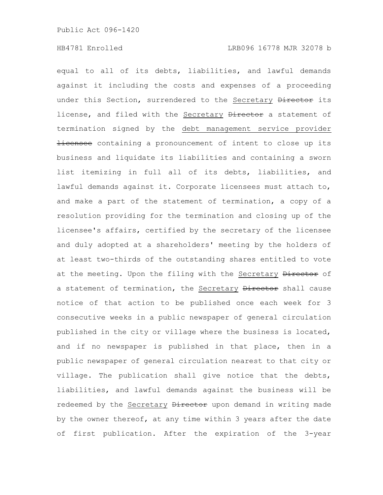equal to all of its debts, liabilities, and lawful demands against it including the costs and expenses of a proceeding under this Section, surrendered to the Secretary Director its license, and filed with the Secretary Director a statement of termination signed by the debt management service provider Hicensee containing a pronouncement of intent to close up its business and liquidate its liabilities and containing a sworn list itemizing in full all of its debts, liabilities, and lawful demands against it. Corporate licensees must attach to, and make a part of the statement of termination, a copy of a resolution providing for the termination and closing up of the licensee's affairs, certified by the secretary of the licensee and duly adopted at a shareholders' meeting by the holders of at least two-thirds of the outstanding shares entitled to vote at the meeting. Upon the filing with the Secretary Director of a statement of termination, the Secretary Director shall cause notice of that action to be published once each week for 3 consecutive weeks in a public newspaper of general circulation published in the city or village where the business is located, and if no newspaper is published in that place, then in a public newspaper of general circulation nearest to that city or village. The publication shall give notice that the debts, liabilities, and lawful demands against the business will be redeemed by the Secretary **Director** upon demand in writing made by the owner thereof, at any time within 3 years after the date of first publication. After the expiration of the 3-year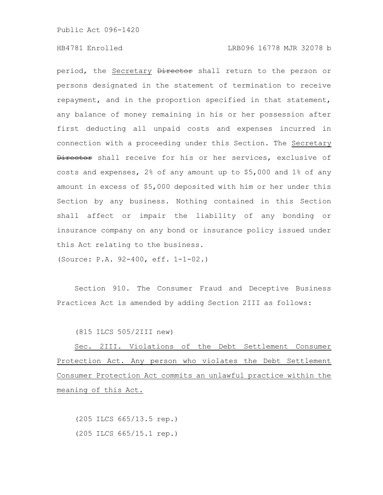# HB4781 Enrolled LRB096 16778 MJR 32078 b

period, the Secretary Director shall return to the person or persons designated in the statement of termination to receive repayment, and in the proportion specified in that statement, any balance of money remaining in his or her possession after first deducting all unpaid costs and expenses incurred in connection with a proceeding under this Section. The Secretary Director shall receive for his or her services, exclusive of costs and expenses, 2% of any amount up to \$5,000 and 1% of any amount in excess of \$5,000 deposited with him or her under this Section by any business. Nothing contained in this Section shall affect or impair the liability of any bonding or insurance company on any bond or insurance policy issued under this Act relating to the business.

(Source: P.A. 92-400, eff. 1-1-02.)

Section 910. The Consumer Fraud and Deceptive Business Practices Act is amended by adding Section 2III as follows:

(815 ILCS 505/2III new)

Sec. 2III. Violations of the Debt Settlement Consumer Protection Act. Any person who violates the Debt Settlement Consumer Protection Act commits an unlawful practice within the meaning of this Act.

(205 ILCS 665/13.5 rep.) (205 ILCS 665/15.1 rep.)